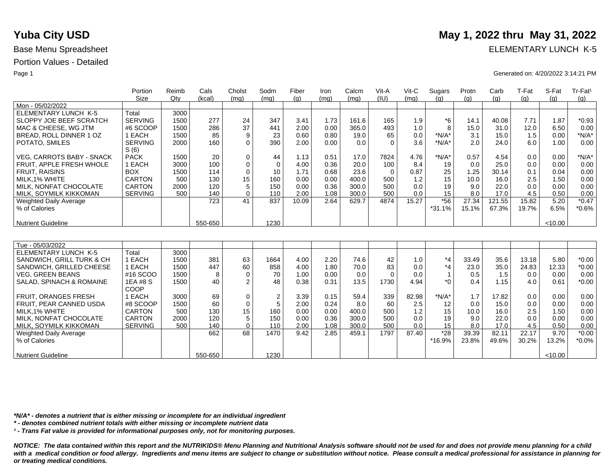|                                  | Portion                | Reimb | Cals    | Cholst         | Sodm             | Fiber | Iron | Calcm | Vit-A    | $V$ it-C | Sugars       | Protn | Carb   | T-Fat | S-Fat   | Tr-Fat <sup>1</sup> |
|----------------------------------|------------------------|-------|---------|----------------|------------------|-------|------|-------|----------|----------|--------------|-------|--------|-------|---------|---------------------|
|                                  | <b>Size</b>            | Qtv   | (kcal)  | (mq)           | (mq)             | (a)   | (ma) | (mq)  | (IU)     | (mq)     | (q)          | (q)   | (q)    | (q)   | (q)     | (q)                 |
| Mon - 05/02/2022                 |                        |       |         |                |                  |       |      |       |          |          |              |       |        |       |         |                     |
| <b>ELEMENTARY LUNCH K-5</b>      | Total                  | 3000  |         |                |                  |       |      |       |          |          |              |       |        |       |         |                     |
| SLOPPY JOE BEEF SCRATCH          | <b>SERVING</b>         | 1500  | 277     | 24             | 347              | 3.41  | 1.73 | 161.6 | 165      | 1.9      | $*6$         | 14.1  | 40.08  | 7.71  | 1.87    | $*0.93$             |
| MAC & CHEESE, WG JTM             | #6 SCOOP               | 1500  | 286     | 37             | 441              | 2.00  | 0.00 | 365.0 | 493      | 1.0      | 8            | 15.0  | 31.0   | 12.0  | 6.50    | 0.00                |
| BREAD, ROLL DINNER 1 OZ          | 1 EACH                 | 1500  | 85      | 9              | 23               | 0.60  | 0.80 | 19.0  | 65       | 0.0      | $*N/A*$      | 3.1   | 15.0   | 1.5   | 0.00    | $*N/A*$             |
| POTATO, SMILES                   | <b>SERVING</b><br>S(6) | 2000  | 160     | $\Omega$       | 390              | 2.00  | 0.00 | 0.0   | $\Omega$ | 3.6      | $*N/A*$      | 2.0   | 24.0   | 6.0   | 1.00    | 0.00                |
| <b>VEG. CARROTS BABY - SNACK</b> | <b>PACK</b>            | 1500  | 20      | $\mathbf 0$    | 44               | 1.13  | 0.51 | 17.0  | 7824     | 4.76     | $*N/A*$      | 0.57  | 4.54   | 0.0   | 0.00    | $*N/A*$             |
| FRUIT, APPLE FRESH WHOLE         | 1 EACH                 | 3000  | 100     | $\mathbf 0$    | $\Omega$         | 4.00  | 0.36 | 20.0  | 100      | 8.4      | 19           | 0.0   | 25.0   | 0.0   | 0.00    | 0.00                |
| <b>FRUIT, RAISINS</b>            | <b>BOX</b>             | 1500  | 114     | $\mathbf 0$    | 10               | 1.71  | 0.68 | 23.6  | $\Omega$ | 0.87     | 25           | 1.25  | 30.14  | 0.1   | 0.04    | 0.00                |
| MILK.1% WHITE                    | <b>CARTON</b>          | 500   | 130     | 15             | 160              | 0.00  | 0.00 | 400.0 | 500      | 1.2      | 15           | 10.0  | 16.0   | 2.5   | 1.50    | 0.00                |
| MILK, NONFAT CHOCOLATE           | <b>CARTON</b>          | 2000  | 120     | 5              | 150              | 0.00  | 0.36 | 300.0 | 500      | 0.0      | 19           | 9.0   | 22.0   | 0.0   | 0.00    | 0.00                |
| MILK, SOYMILK KIKKOMAN           | <b>SERVING</b>         | 500   | 140     | $\Omega$       | 110              | 2.00  | 1.08 | 300.0 | 500      | 0.0      | 15           | 8.0   | 17.0   | 4.5   | 0.50    | 0.00                |
| Weighted Daily Average           |                        |       | 723     | 41             | 837              | 10.09 | 2.64 | 629.7 | 4874     | 15.27    | $*56$        | 27.34 | 121.55 | 15.82 | 5.20    | $*0.47$             |
| % of Calories                    |                        |       |         |                |                  |       |      |       |          |          | $*31.1%$     | 15.1% | 67.3%  | 19.7% | 6.5%    | $*0.6%$             |
|                                  |                        |       |         |                |                  |       |      |       |          |          |              |       |        |       |         |                     |
| <b>Nutrient Guideline</b>        |                        |       | 550-650 |                | 1230             |       |      |       |          |          |              |       |        |       | < 10.00 |                     |
|                                  |                        |       |         |                |                  |       |      |       |          |          |              |       |        |       |         |                     |
| Tue - 05/03/2022                 |                        |       |         |                |                  |       |      |       |          |          |              |       |        |       |         |                     |
| <b>ELEMENTARY LUNCH K-5</b>      | Total                  | 3000  |         |                |                  |       |      |       |          |          |              |       |        |       |         |                     |
| SANDWICH, GRILL TURK & CH        | 1 EACH                 | 1500  | 381     | 63             | 1664             | 4.00  | 2.20 | 74.6  | 42       | 1.0      | $*_{4}$      | 33.49 | 35.6   | 13.18 | 5.80    | $*0.00$             |
| SANDWICH, GRILLED CHEESE         | 1 EACH                 | 1500  | 447     | 60             | 858              | 4.00  | 1.80 | 70.0  | 83       | 0.0      | $*_{4}$      | 23.0  | 35.0   | 24.83 | 12.33   | $*0.00$             |
| <b>VEG. GREEN BEANS</b>          | #16 SCOO               | 1500  | 8       | $\mathbf 0$    | 70               | 1.00  | 0.00 | 0.0   | $\Omega$ | 0.0      | $\mathbf{1}$ | 0.5   | 1.5    | 0.0   | 0.00    | 0.00                |
| SALAD, SPINACH & ROMAINE         | 1EA #8 S               | 1500  | 40      | $\overline{2}$ | 48               | 0.38  | 0.31 | 13.5  | 1730     | 4.94     | $*$ $\Omega$ | 0.4   | 1.15   | 4.0   | 0.61    | $*0.00$             |
|                                  | COOP                   |       |         |                |                  |       |      |       |          |          |              |       |        |       |         |                     |
| <b>FRUIT, ORANGES FRESH</b>      | 1 EACH                 | 3000  | 69      | 0              | $\boldsymbol{2}$ | 3.39  | 0.15 | 59.4  | 339      | 82.98    | $*N/A*$      | 1.7   | 17.82  | 0.0   | 0.00    | 0.00                |
| FRUIT, PEAR CANNED USDA          | #8 SCOOP               | 1500  | 60      | $\mathbf 0$    | 5                | 2.00  | 0.24 | 8.0   | 60       | 2.5      | 12           | 0.0   | 15.0   | 0.0   | 0.00    | 0.00                |
| MILK, 1% WHITE                   | CARTON                 | 500   | 130     | 15             | 160              | 0.00  | 0.00 | 400.0 | 500      | 1.2      | 15           | 10.0  | 16.0   | 2.5   | 1.50    | 0.00                |
| MILK. NONFAT CHOCOLATE           | <b>CARTON</b>          | 2000  | 120     | 5              | 150              | 0.00  | 0.36 | 300.0 | 500      | 0.0      | 19           | 9.0   | 22.0   | 0.0   | 0.00    | 0.00                |
| MILK, SOYMILK KIKKOMAN           | <b>SERVING</b>         | 500   | 140     | $\Omega$       | 110              | 2.00  | 1.08 | 300.0 | 500      | 0.0      | 15           | 8.0   | 17.0   | 4.5   | 0.50    | 0.00                |
| Weighted Daily Average           |                        |       | 662     | 68             | 1470             | 9.42  | 2.85 | 459.1 | 1797     | 87.40    | $*28$        | 39.39 | 82.11  | 22.17 | 9.70    | $*0.00$             |
| % of Calories                    |                        |       |         |                |                  |       |      |       |          |          | *16.9%       | 23.8% | 49.6%  | 30.2% | 13.2%   | $*0.0\%$            |
|                                  |                        |       |         |                |                  |       |      |       |          |          |              |       |        |       |         |                     |
| <b>Nutrient Guideline</b>        |                        |       | 550-650 |                | 1230             |       |      |       |          |          |              |       |        |       | < 10.00 |                     |

*\*N/A\* - denotes a nutrient that is either missing or incomplete for an individual ingredient*

*\* - denotes combined nutrient totals with either missing or incomplete nutrient data*

*¹ - Trans Fat value is provided for informational purposes only, not for monitoring purposes.*

*NOTICE: The data contained within this report and the NUTRIKIDS® Menu Planning and Nutritional Analysis software should not be used for and does not provide menu planning for a child*  with a medical condition or food allergy. Ingredients and menu items are subject to change or substitution without notice. Please consult a medical professional for assistance in planning for *or treating medical conditions.*

# **Yuba City USD** May 1, 2022 thru May 31, 2022

Base Menu Spreadsheet **ELEMENTARY LUNCH K-5** 

Page 1 Generated on: 4/20/2022 3:14:21 PM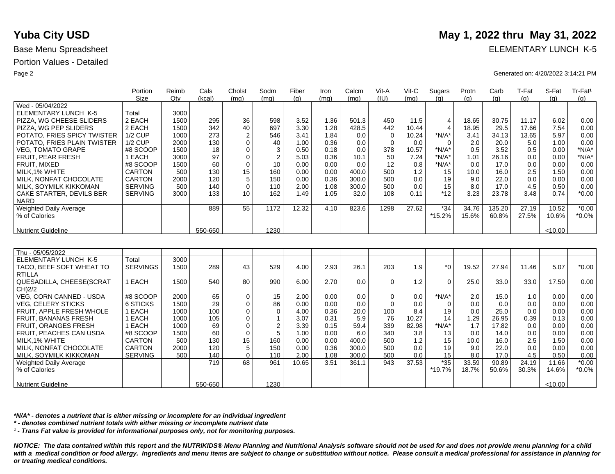Nutrient Guideline

|                                | Portion         | Reimb | Cals    | Cholst         | Sodm                    | Fiber | Iron | Calcm | Vit-A       | $V$ it-C | Sugars         | Protn | Carb   | T-Fat | S-Fat   | Tr-Fat <sup>1</sup> |
|--------------------------------|-----------------|-------|---------|----------------|-------------------------|-------|------|-------|-------------|----------|----------------|-------|--------|-------|---------|---------------------|
|                                | Size            | Qty   | (kcal)  | (mq)           | (mq)                    | (q)   | (mq) | (mq)  | (IU)        | (ma)     | (q)            | (q)   | (q)    | (q)   | (q)     | (q)                 |
| Wed - 05/04/2022               |                 |       |         |                |                         |       |      |       |             |          |                |       |        |       |         |                     |
| <b>ELEMENTARY LUNCH K-5</b>    | Total           | 3000  |         |                |                         |       |      |       |             |          |                |       |        |       |         |                     |
| PIZZA, WG CHEESE SLIDERS       | 2 EACH          | 1500  | 295     | 36             | 598                     | 3.52  | 1.36 | 501.3 | 450         | 11.5     | $\overline{4}$ | 18.65 | 30.75  | 11.17 | 6.02    | 0.00                |
| PIZZA. WG PEP SLIDERS          | 2 EACH          | 1500  | 342     | 40             | 697                     | 3.30  | 1.28 | 428.5 | 442         | 10.44    | $\overline{4}$ | 18.95 | 29.5   | 17.66 | 7.54    | 0.00                |
| POTATO, FRIES SPICY TWISTER    | <b>1/2 CUP</b>  | 1000  | 273     | $\overline{2}$ | 546                     | 3.41  | 1.84 | 0.0   | $\mathbf 0$ | 10.24    | $*N/A*$        | 3.41  | 34.13  | 13.65 | 5.97    | 0.00                |
| POTATO, FRIES PLAIN TWISTER    | <b>1/2 CUP</b>  | 2000  | 130     | $\mathbf 0$    | 40                      | 1.00  | 0.36 | 0.0   | $\Omega$    | 0.0      | $\Omega$       | 2.0   | 20.0   | 5.0   | 1.00    | 0.00                |
| <b>VEG. TOMATO GRAPE</b>       | #8 SCOOP        | 1500  | 18      | $\mathbf 0$    | 3                       | 0.50  | 0.18 | 0.0   | 378         | 10.57    | $*N/A*$        | 0.5   | 3.52   | 0.5   | 0.00    | $*N/A*$             |
| <b>FRUIT, PEAR FRESH</b>       | 1 EACH          | 3000  | 97      | $\mathbf 0$    | $\overline{2}$          | 5.03  | 0.36 | 10.1  | 50          | 7.24     | $*N/A*$        | 1.01  | 26.16  | 0.0   | 0.00    | $*N/A*$             |
| FRUIT, MIXED                   | #8 SCOOP        | 1500  | 60      | $\mathbf 0$    | 10                      | 0.00  | 0.00 | 0.0   | 12          | 0.8      | $*N/A*$        | 0.0   | 17.0   | 0.0   | 0.00    | 0.00                |
| MILK, 1% WHITE                 | <b>CARTON</b>   | 500   | 130     | 15             | 160                     | 0.00  | 0.00 | 400.0 | 500         | 1.2      | 15             | 10.0  | 16.0   | 2.5   | 1.50    | 0.00                |
| MILK. NONFAT CHOCOLATE         | <b>CARTON</b>   | 2000  | 120     | 5              | 150                     | 0.00  | 0.36 | 300.0 | 500         | 0.0      | 19             | 9.0   | 22.0   | 0.0   | 0.00    | 0.00                |
| MILK, SOYMILK KIKKOMAN         | <b>SERVING</b>  | 500   | 140     | $\mathbf 0$    | 110                     | 2.00  | 1.08 | 300.0 | 500         | 0.0      | 15             | 8.0   | 17.0   | 4.5   | 0.50    | 0.00                |
| CAKE STARTER, DEVILS BER       | <b>SERVING</b>  | 3000  | 133     | 10             | 162                     | 1.49  | 1.05 | 32.0  | 108         | 0.11     | $*12$          | 3.23  | 23.78  | 3.48  | 0.74    | $*0.00$             |
| <b>NARD</b>                    |                 |       |         |                |                         |       |      |       |             |          |                |       |        |       |         |                     |
| <b>Weighted Daily Average</b>  |                 |       | 889     | 55             | 1172                    | 12.32 | 4.10 | 823.6 | 1298        | 27.62    | $*34$          | 34.76 | 135.20 | 27.19 | 10.52   | $*0.00$             |
| % of Calories                  |                 |       |         |                |                         |       |      |       |             |          | *15.2%         | 15.6% | 60.8%  | 27.5% | 10.6%   | $*0.0\%$            |
|                                |                 |       |         |                |                         |       |      |       |             |          |                |       |        |       |         |                     |
| <b>Nutrient Guideline</b>      |                 |       | 550-650 |                | 1230                    |       |      |       |             |          |                |       |        |       | < 10.00 |                     |
|                                |                 |       |         |                |                         |       |      |       |             |          |                |       |        |       |         |                     |
| Thu - 05/05/2022               |                 |       |         |                |                         |       |      |       |             |          |                |       |        |       |         |                     |
| <b>ELEMENTARY LUNCH K-5</b>    | Total           | 3000  |         |                |                         |       |      |       |             |          |                |       |        |       |         |                     |
| TACO, BEEF SOFT WHEAT TO       | <b>SERVINGS</b> | 1500  | 289     | 43             | 529                     | 4.00  | 2.93 | 26.1  | 203         | 1.9      | $*_{0}$        | 19.52 | 27.94  | 11.46 | 5.07    | $*0.00$             |
| <b>RTILLA</b>                  |                 |       |         |                |                         |       |      |       |             |          |                |       |        |       |         |                     |
| QUESADILLA, CHEESE(SCRAT       | 1 EACH          | 1500  | 540     | 80             | 990                     | 6.00  | 2.70 | 0.0   | $\Omega$    | 1.2      | $\Omega$       | 25.0  | 33.0   | 33.0  | 17.50   | 0.00                |
| CH)2/2                         |                 |       |         |                |                         |       |      |       |             |          |                |       |        |       |         |                     |
| <b>VEG. CORN CANNED - USDA</b> | #8 SCOOP        | 2000  | 65      | $\mathbf 0$    | 15                      | 2.00  | 0.00 | 0.0   | $\Omega$    | 0.0      | $*N/A*$        | 2.0   | 15.0   | 1.0   | 0.00    | 0.00                |
| <b>VEG, CELERY STICKS</b>      | 6 STICKS        | 1500  | 29      | $\mathbf 0$    | 86                      | 0.00  | 0.00 | 0.0   | $\Omega$    | 0.0      | $\Omega$       | 0.0   | 0.0    | 0.0   | 0.00    | 0.00                |
| FRUIT, APPLE FRESH WHOLE       | 1 EACH          | 1000  | 100     | $\mathbf 0$    | $\mathbf 0$             | 4.00  | 0.36 | 20.0  | 100         | 8.4      | 19             | 0.0   | 25.0   | 0.0   | 0.00    | 0.00                |
| <b>FRUIT, BANANAS FRESH</b>    | 1 EACH          | 1000  | 105     | $\mathbf 0$    | $\mathbf{1}$            | 3.07  | 0.31 | 5.9   | 76          | 10.27    | 14             | 1.29  | 26.95  | 0.39  | 0.13    | 0.00                |
| <b>FRUIT, ORANGES FRESH</b>    | 1 EACH          | 1000  | 69      | $\mathbf 0$    | $\overline{\mathbf{c}}$ | 3.39  | 0.15 | 59.4  | 339         | 82.98    | $*N/A*$        | 1.7   | 17.82  | 0.0   | 0.00    | 0.00                |
| <b>FRUIT, PEACHES CAN USDA</b> | #8 SCOOP        | 1500  | 60      | $\mathbf 0$    | 5                       | 1.00  | 0.00 | 6.0   | 340         | 3.8      | 13             | 0.0   | 14.0   | 0.0   | 0.00    | 0.00                |
| MILK, 1% WHITE                 | CARTON          | 500   | 130     | 15             | 160                     | 0.00  | 0.00 | 400.0 | 500         | 1.2      | 15             | 10.0  | 16.0   | 2.5   | 1.50    | 0.00                |
| MILK. NONFAT CHOCOLATE         | <b>CARTON</b>   | 2000  | 120     | 5              | 150                     | 0.00  | 0.36 | 300.0 | 500         | 0.0      | 19             | 9.0   | 22.0   | 0.0   | 0.00    | 0.00                |
| MILK, SOYMILK KIKKOMAN         | <b>SERVING</b>  | 500   | 140     | $\mathbf 0$    | 110                     | 2.00  | 1.08 | 300.0 | 500         | 0.0      | 15             | 8.0   | 17.0   | 4.5   | 0.50    | 0.00                |
| Weighted Daily Average         |                 |       | 719     | 68             | 961                     | 10.65 | 3.51 | 361.1 | 943         | 37.53    | $*35$          | 33.59 | 90.89  | 24.19 | 11.66   | $*0.00$             |
| % of Calories                  |                 |       |         |                |                         |       |      |       |             |          | *19.7%         | 18.7% | 50.6%  | 30.3% | 14.6%   | $*0.0\%$            |
|                                |                 |       |         |                |                         |       |      |       |             |          |                |       |        |       |         |                     |

*\*N/A\* - denotes a nutrient that is either missing or incomplete for an individual ingredient*

*\* - denotes combined nutrient totals with either missing or incomplete nutrient data*

*¹ - Trans Fat value is provided for informational purposes only, not for monitoring purposes.*

550-650

*NOTICE: The data contained within this report and the NUTRIKIDS® Menu Planning and Nutritional Analysis software should not be used for and does not provide menu planning for a child*  with a medical condition or food allergy. Ingredients and menu items are subject to change or substitution without notice. Please consult a medical professional for assistance in planning for *or treating medical conditions.*

1230

# **Yuba City USD** May 1, 2022 thru May 31, 2022

Base Menu Spreadsheet **ELEMENTARY LUNCH K-5** 

Page 2 Generated on: 4/20/2022 3:14:21 PM

 $10.00$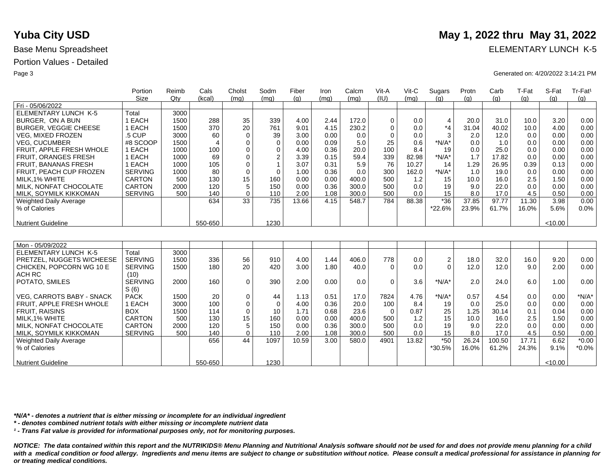|                                         | Portion        | Reimb        | Cals           | Cholst         | Sodm           | Fiber | Iron | Calcm | Vit-A       | $V$ it-C | Sugars         | Protn          | Carb   | T-Fat | S-Fat   | Tr-Fat <sup>1</sup>       |
|-----------------------------------------|----------------|--------------|----------------|----------------|----------------|-------|------|-------|-------------|----------|----------------|----------------|--------|-------|---------|---------------------------|
|                                         | <b>Size</b>    | Qtv          | (kcal)         | (mq)           | (mq)           | (a)   | (mq) | (mq)  | (IU)        | (mq)     | (q)            | (q)            | (q)    | (g)   | (a)     | (g)                       |
| Fri - 05/06/2022                        |                |              |                |                |                |       |      |       |             |          |                |                |        |       |         |                           |
| ELEMENTARY LUNCH K-5                    | Total          | 3000         |                |                |                |       |      |       |             |          |                |                |        |       |         |                           |
| BURGER, ON A BUN                        | 1 EACH         | 1500         | 288            | 35             | 339            | 4.00  | 2.44 | 172.0 | $\mathbf 0$ | 0.0      | $\overline{4}$ | 20.0           | 31.0   | 10.0  | 3.20    | 0.00                      |
| <b>BURGER, VEGGIE CHEESE</b>            | 1 EACH         | 1500         | 370            | 20             | 761            | 9.01  | 4.15 | 230.2 | $\mathbf 0$ | 0.0      | $*_{4}$        | 31.04          | 40.02  | 10.0  | 4.00    | 0.00                      |
| <b>VEG, MIXED FROZEN</b>                | .5 CUP         | 3000         | 60             | $\mathbf 0$    | 39             | 3.00  | 0.00 | 0.0   | $\mathbf 0$ | 0.0      | 3              | 2.0            | 12.0   | 0.0   | 0.00    | 0.00                      |
| <b>VEG. CUCUMBER</b>                    | #8 SCOOP       | 1500         | $\overline{4}$ | 0              | $\mathbf 0$    | 0.00  | 0.09 | 5.0   | 25          | 0.6      | *N/A*          | 0.0            | 1.0    | 0.0   | 0.00    | 0.00                      |
| FRUIT, APPLE FRESH WHOLE                | 1 EACH         | 1000         | 100            | $\mathbf 0$    | $\mathbf 0$    | 4.00  | 0.36 | 20.0  | 100         | 8.4      | 19             | 0.0            | 25.0   | 0.0   | 0.00    | 0.00                      |
| FRUIT, ORANGES FRESH                    | 1 EACH         | 1000         | 69             | $\mathbf 0$    | $\overline{c}$ | 3.39  | 0.15 | 59.4  | 339         | 82.98    | *N/A*          | 1.7            | 17.82  | 0.0   | 0.00    | 0.00                      |
| FRUIT, BANANAS FRESH                    | 1 EACH         | 1000         | 105            | $\mathbf 0$    | $\overline{1}$ | 3.07  | 0.31 | 5.9   | 76          | 10.27    | 14             | 1.29           | 26.95  | 0.39  | 0.13    | 0.00                      |
| FRUIT, PEACH CUP FROZEN                 | <b>SERVING</b> | 1000         | 80             | $\mathbf 0$    | $\Omega$       | 1.00  | 0.36 | 0.0   | 300         | 162.0    | $*N/A*$        | 1.0            | 19.0   | 0.0   | 0.00    | 0.00                      |
| MILK.1% WHITE                           | <b>CARTON</b>  | 500          | 130            | 15             | 160            | 0.00  | 0.00 | 400.0 | 500         | 1.2      | 15             | 10.0           | 16.0   | 2.5   | 1.50    | 0.00                      |
| MILK, NONFAT CHOCOLATE                  | <b>CARTON</b>  | 2000         | 120            | 5              | 150            | 0.00  | 0.36 | 300.0 | 500         | 0.0      | 19             | 9.0            | 22.0   | 0.0   | 0.00    | 0.00                      |
| MILK, SOYMILK KIKKOMAN                  | <b>SERVING</b> | 500          | 140            | $\mathbf 0$    | 110            | 2.00  | 1.08 | 300.0 | 500         | 0.0      | 15             | 8.0            | 17.0   | 4.5   | 0.50    | 0.00                      |
| Weighted Daily Average                  |                |              | 634            | 33             | 735            | 13.66 | 4.15 | 548.7 | 784         | 88.38    | $*36$          | 37.85          | 97.77  | 11.30 | 3.98    | 0.00                      |
| % of Calories                           |                |              |                |                |                |       |      |       |             |          | *22.6%         | 23.9%          | 61.7%  | 16.0% | 5.6%    | 0.0%                      |
|                                         |                |              |                |                |                |       |      |       |             |          |                |                |        |       |         |                           |
| <b>Nutrient Guideline</b>               |                |              | 550-650        |                | 1230           |       |      |       |             |          |                |                |        |       | <10.00  |                           |
|                                         |                |              |                |                |                |       |      |       |             |          |                |                |        |       |         |                           |
|                                         |                |              |                |                |                |       |      |       |             |          |                |                |        |       |         |                           |
| Mon - 05/09/2022                        |                |              |                |                |                |       |      |       |             |          |                |                |        |       |         |                           |
| <b>ELEMENTARY LUNCH K-5</b>             | Total          | 3000         |                |                |                |       |      |       |             |          |                |                |        |       |         |                           |
| PRETZEL, NUGGETS W/CHEESE               | <b>SERVING</b> | 1500         | 336            | 56             | 910            | 4.00  | 1.44 | 406.0 | 778         | 0.0      | $\sqrt{2}$     | 18.0           | 32.0   | 16.0  | 9.20    | 0.00                      |
| CHICKEN, POPCORN WG 10 E                | <b>SERVING</b> | 1500         | 180            | 20             | 420            | 3.00  | 1.80 | 40.0  | $\Omega$    | 0.0      | $\Omega$       | 12.0           | 12.0   | 9.0   | 2.00    | 0.00                      |
| ACH RC                                  | (10)           |              |                |                |                |       |      |       |             |          |                |                |        |       |         |                           |
| POTATO, SMILES                          | <b>SERVING</b> | 2000         | 160            | $\mathbf 0$    | 390            | 2.00  | 0.00 | 0.0   | $\Omega$    | 3.6      | $*N/A*$        | 2.0            | 24.0   | 6.0   | 1.00    | 0.00                      |
|                                         | S(6)           |              |                |                |                |       |      |       |             |          |                |                |        |       |         |                           |
| VEG. CARROTS BABY - SNACK               | <b>PACK</b>    | 1500<br>3000 | 20<br>100      | 0              | 44             | 1.13  | 0.51 | 17.0  | 7824        | 4.76     | $*N/A*$        | 0.57           | 4.54   | 0.0   | 0.00    | $*N/A*$                   |
| FRUIT, APPLE FRESH WHOLE                | 1 EACH         |              |                | $\mathbf 0$    | $\Omega$<br>10 | 4.00  | 0.36 | 20.0  | 100         | 8.4      | 19             | 0.0            | 25.0   | 0.0   | 0.00    | 0.00                      |
| <b>FRUIT, RAISINS</b>                   | <b>BOX</b>     | 1500         | 114            | $\mathbf 0$    |                | 1.71  | 0.68 | 23.6  | $\Omega$    | 0.87     | 25             | 1.25           | 30.14  | 0.1   | 0.04    | 0.00                      |
| MILK.1% WHITE                           | <b>CARTON</b>  | 500          | 130            | 15             | 160            | 0.00  | 0.00 | 400.0 | 500         | 1.2      | 15             | 10.0           | 16.0   | 2.5   | 1.50    | 0.00                      |
| MILK. NONFAT CHOCOLATE                  | <b>CARTON</b>  | 2000         | 120            | 5              | 150            | 0.00  | 0.36 | 300.0 | 500         | 0.0      | 19             | 9.0            | 22.0   | 0.0   | 0.00    | 0.00                      |
| MILK, SOYMILK KIKKOMAN                  | <b>SERVING</b> | 500          | 140            | $\Omega$<br>44 | 110            | 2.00  | 1.08 | 300.0 | 500         | 0.0      | 15             | 8.0            | 17.0   | 4.5   | 0.50    | 0.00<br>$\overline{0.00}$ |
| Weighted Daily Average<br>% of Calories |                |              | 656            |                | 1097           | 10.59 | 3.00 | 580.0 | 4901        | 13.82    | $*50$          | 26.24<br>16.0% | 100.50 | 17.71 | 6.62    |                           |
|                                         |                |              |                |                |                |       |      |       |             |          | *30.5%         |                | 61.2%  | 24.3% | 9.1%    | $*0.0\%$                  |
| <b>Nutrient Guideline</b>               |                |              | 550-650        |                | 1230           |       |      |       |             |          |                |                |        |       | < 10.00 |                           |

*\*N/A\* - denotes a nutrient that is either missing or incomplete for an individual ingredient*

*\* - denotes combined nutrient totals with either missing or incomplete nutrient data*

*¹ - Trans Fat value is provided for informational purposes only, not for monitoring purposes.*

*NOTICE: The data contained within this report and the NUTRIKIDS® Menu Planning and Nutritional Analysis software should not be used for and does not provide menu planning for a child*  with a medical condition or food allergy. Ingredients and menu items are subject to change or substitution without notice. Please consult a medical professional for assistance in planning for *or treating medical conditions.*

# **Yuba City USD** May 1, 2022 thru May 31, 2022

Base Menu Spreadsheet **ELEMENTARY LUNCH K-5** 

Page 3 Generated on: 4/20/2022 3:14:21 PM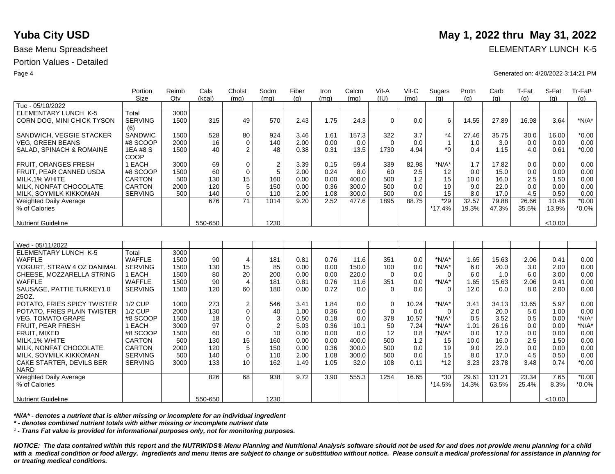|                                                     | Portion              | Reimb | Cals       | Cholst           | Sodm           | Fiber | Iron | Calcm | Vit-A       | $V$ it-C | Sugars                  | Protn      | Carb        | T-Fat | S-Fat   | Tr-Fat <sup>1</sup> |
|-----------------------------------------------------|----------------------|-------|------------|------------------|----------------|-------|------|-------|-------------|----------|-------------------------|------------|-------------|-------|---------|---------------------|
|                                                     | <b>Size</b>          | Qty   | (kcal)     | (mq)             | (mq)           | (q)   | (mq) | (mq)  | (IU)        | (mq)     | (q)                     | (q)        | (g)         | (g)   | (q)     | (g)                 |
| Tue - 05/10/2022                                    |                      |       |            |                  |                |       |      |       |             |          |                         |            |             |       |         |                     |
| ELEMENTARY LUNCH K-5                                | Total                | 3000  |            |                  |                |       |      |       |             |          |                         |            |             |       |         |                     |
| CORN DOG, MINI CHICK TYSON                          | <b>SERVING</b>       | 1500  | 315        | 49               | 570            | 2.43  | 1.75 | 24.3  | $\mathbf 0$ | 0.0      | 6                       | 14.55      | 27.89       | 16.98 | 3.64    | $*N/A*$             |
| SANDWICH, VEGGIE STACKER                            | (6)<br>SANDWIC       | 1500  | 528        |                  | 924            |       |      | 157.3 | 322         | 3.7      | $*_{4}$                 | 27.46      | 35.75       | 30.0  |         | $*0.00$             |
|                                                     |                      |       |            | 80               |                | 3.46  | 1.61 |       |             |          |                         |            |             |       | 16.00   | 0.00                |
| <b>VEG. GREEN BEANS</b><br>SALAD, SPINACH & ROMAINE | #8 SCOOP<br>1EA #8 S | 2000  | 16<br>40   | $\mathbf 0$<br>2 | 140<br>48      | 2.00  | 0.00 | 0.0   | $\mathbf 0$ | 0.0      | $\mathbf{1}$<br>$*_{0}$ | 1.0<br>0.4 | 3.0<br>1.15 | 0.0   | 0.00    | $*0.00$             |
|                                                     | COOP                 | 1500  |            |                  |                | 0.38  | 0.31 | 13.5  | 1730        | 4.94     |                         |            |             | 4.0   | 0.61    |                     |
|                                                     |                      |       |            |                  |                |       |      |       |             |          |                         |            |             |       |         |                     |
| FRUIT, ORANGES FRESH                                | 1 EACH               | 3000  | 69         | 0                | $\overline{2}$ | 3.39  | 0.15 | 59.4  | 339         | 82.98    | $*N/A*$                 | 1.7        | 17.82       | 0.0   | 0.00    | 0.00                |
| FRUIT, PEAR CANNED USDA                             | #8 SCOOP             | 1500  | 60         | 0                | 5              | 2.00  | 0.24 | 8.0   | 60          | 2.5      | 12                      | 0.0        | 15.0        | 0.0   | 0.00    | 0.00                |
| MILK, 1% WHITE                                      | CARTON               | 500   | 130        | 15               | 160            | 0.00  | 0.00 | 400.0 | 500         | 1.2      | 15                      | 10.0       | 16.0        | 2.5   | 1.50    | 0.00                |
| MILK, NONFAT CHOCOLATE                              | <b>CARTON</b>        | 2000  | 120        | 5                | 150            | 0.00  | 0.36 | 300.0 | 500         | 0.0      | 19                      | 9.0        | 22.0        | 0.0   | 0.00    | 0.00                |
| MILK, SOYMILK KIKKOMAN                              | <b>SERVING</b>       | 500   | 140<br>676 | $\Omega$<br>71   | 110            | 2.00  | 1.08 | 300.0 | 500         | 0.0      | 15<br>$*29$             | 8.0        | 17.0        | 4.5   | 0.50    | 0.00                |
| <b>Weighted Daily Average</b>                       |                      |       |            |                  | 1014           | 9.20  | 2.52 | 477.6 | 1895        | 88.75    |                         | 32.57      | 79.88       | 26.66 | 10.46   | $*0.00$             |
| % of Calories                                       |                      |       |            |                  |                |       |      |       |             |          | $*17.4%$                | 19.3%      | 47.3%       | 35.5% | 13.9%   | $*0.0\%$            |
|                                                     |                      |       | 550-650    |                  |                |       |      |       |             |          |                         |            |             |       |         |                     |
| <b>Nutrient Guideline</b>                           |                      |       |            |                  | 1230           |       |      |       |             |          |                         |            |             |       | < 10.00 |                     |
|                                                     |                      |       |            |                  |                |       |      |       |             |          |                         |            |             |       |         |                     |
| Wed - 05/11/2022                                    |                      |       |            |                  |                |       |      |       |             |          |                         |            |             |       |         |                     |
| ELEMENTARY LUNCH K-5                                | Total                | 3000  |            |                  |                |       |      |       |             |          |                         |            |             |       |         |                     |
| <b>WAFFLE</b>                                       | <b>WAFFLE</b>        | 1500  | 90         | 4                | 181            | 0.81  | 0.76 | 11.6  | 351         | 0.0      | $*N/A*$                 | 1.65       | 15.63       | 2.06  | 0.41    | 0.00                |
| YOGURT, STRAW 4 OZ DANIMAL                          | <b>SERVING</b>       | 1500  | 130        | 15               | 85             | 0.00  | 0.00 | 150.0 | 100         | 0.0      | $*N/A*$                 | 6.0        | 20.0        | 3.0   | 2.00    | 0.00                |
| CHEESE, MOZZARELLA STRING                           | 1 EACH               | 1500  | 80         | 20               | 200            | 0.00  | 0.00 | 220.0 | $\Omega$    | 0.0      | $\Omega$                | 6.0        | 1.0         | 6.0   | 3.00    | 0.00                |
| WAFFLE                                              | <b>WAFFLE</b>        | 1500  | 90         | $\overline{4}$   | 181            | 0.81  | 0.76 | 11.6  | 351         | 0.0      | $*N/A*$                 | 1.65       | 15.63       | 2.06  | 0.41    | 0.00                |
| SAUSAGE, PATTIE TURKEY1.0                           | <b>SERVING</b>       | 1500  | 120        | 60               | 180            | 0.00  | 0.72 | 0.0   | $\Omega$    | 0.0      | $\Omega$                | 12.0       | 0.0         | 8.0   | 2.00    | 0.00                |
| 25OZ.                                               |                      |       |            |                  |                |       |      |       |             |          |                         |            |             |       |         |                     |
| POTATO, FRIES SPICY TWISTER                         | <b>1/2 CUP</b>       | 1000  | 273        | $\mathbf 2$      | 546            | 3.41  | 1.84 | 0.0   | 0           | 10.24    | $*N/A*$                 | 3.41       | 34.13       | 13.65 | 5.97    | 0.00                |
| POTATO, FRIES PLAIN TWISTER                         | <b>1/2 CUP</b>       | 2000  | 130        | $\Omega$         | 40             | 1.00  | 0.36 | 0.0   | $\Omega$    | 0.0      | $\Omega$                | 2.0        | 20.0        | 5.0   | 1.00    | 0.00                |
| <b>VEG, TOMATO GRAPE</b>                            | #8 SCOOP             | 1500  | 18         | $\mathbf 0$      | 3              | 0.50  | 0.18 | 0.0   | 378         | 10.57    | $*N/A*$                 | 0.5        | 3.52        | 0.5   | 0.00    | $*N/A*$             |
| FRUIT, PEAR FRESH                                   | 1 EACH               | 3000  | 97         | $\mathbf 0$      | $\overline{2}$ | 5.03  | 0.36 | 10.1  | 50          | 7.24     | $*N/A*$                 | 1.01       | 26.16       | 0.0   | 0.00    | $*N/A*$             |
| FRUIT, MIXED                                        | #8 SCOOP             | 1500  | 60         | $\mathbf 0$      | 10             | 0.00  | 0.00 | 0.0   | 12          | 0.8      | $*N/A*$                 | 0.0        | 17.0        | 0.0   | 0.00    | 0.00                |
| MILK.1% WHITE                                       | <b>CARTON</b>        | 500   | 130        | 15               | 160            | 0.00  | 0.00 | 400.0 | 500         | 1.2      | 15                      | 10.0       | 16.0        | 2.5   | 1.50    | 0.00                |
| MILK, NONFAT CHOCOLATE                              | <b>CARTON</b>        | 2000  | 120        | 5                | 150            | 0.00  | 0.36 | 300.0 | 500         | 0.0      | 19                      | 9.0        | 22.0        | 0.0   | 0.00    | 0.00                |
| MILK, SOYMILK KIKKOMAN                              | <b>SERVING</b>       | 500   | 140        | $\Omega$         | 110            | 2.00  | 1.08 | 300.0 | 500         | 0.0      | 15                      | 8.0        | 17.0        | 4.5   | 0.50    | 0.00                |
| CAKE STARTER, DEVILS BER                            | <b>SERVING</b>       | 3000  | 133        | 10               | 162            | 1.49  | 1.05 | 32.0  | 108         | 0.11     | $*12$                   | 3.23       | 23.78       | 3.48  | 0.74    | $*0.00$             |
| <b>NARD</b>                                         |                      |       |            |                  |                |       |      |       |             |          |                         |            |             |       |         |                     |
| <b>Weighted Daily Average</b>                       |                      |       | 826        | 68               | 938            | 9.72  | 3.90 | 555.3 | 1254        | 16.65    | $*30$                   | 29.61      | 131.21      | 23.34 | 7.65    | $*0.00$             |
| % of Calories                                       |                      |       |            |                  |                |       |      |       |             |          | $*14.5%$                | 14.3%      | 63.5%       | 25.4% | 8.3%    | $*0.0\%$            |
|                                                     |                      |       |            |                  |                |       |      |       |             |          |                         |            |             |       |         |                     |
| <b>Nutrient Guideline</b>                           |                      |       | 550-650    |                  | 1230           |       |      |       |             |          |                         |            |             |       | < 10.00 |                     |

*\*N/A\* - denotes a nutrient that is either missing or incomplete for an individual ingredient*

*\* - denotes combined nutrient totals with either missing or incomplete nutrient data*

*¹ - Trans Fat value is provided for informational purposes only, not for monitoring purposes.*

*NOTICE: The data contained within this report and the NUTRIKIDS® Menu Planning and Nutritional Analysis software should not be used for and does not provide menu planning for a child*  with a medical condition or food allergy. Ingredients and menu items are subject to change or substitution without notice. Please consult a medical professional for assistance in planning for *or treating medical conditions.*

# **Yuba City USD** May 1, 2022 thru May 31, 2022

Base Menu Spreadsheet **ELEMENTARY LUNCH K-5** 

Page 4 Generated on: 4/20/2022 3:14:21 PM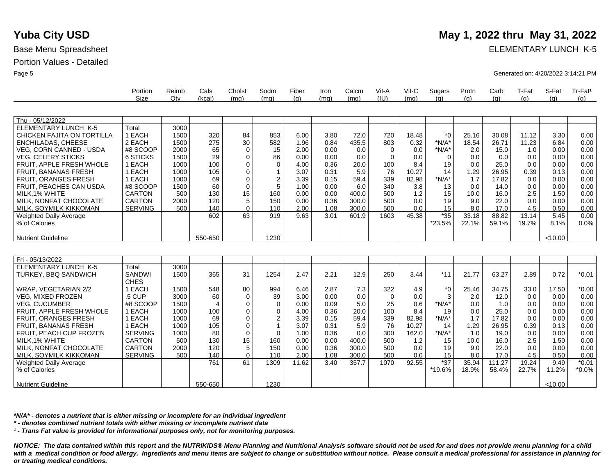Weighted Daily Average

% of Calories

Nutrient Guideline

### Portion Values - Detailed

Base Menu Spreadsheet **ELEMENTARY LUNCH K-5** 

Page 5 Generated on: 4/20/2022 3:14:21 PM

|                                | Portion        | Reimb | Cals    | Cholst      | Sodm           | Fiber | Iron | Calcm | Vit-A       | Vit-C | Sugars   | Protn | Carb  | T-Fat | S-Fat   | Tr-Fat <sup>1</sup> |
|--------------------------------|----------------|-------|---------|-------------|----------------|-------|------|-------|-------------|-------|----------|-------|-------|-------|---------|---------------------|
|                                | <b>Size</b>    | Qtv   | (kcal)  | (mq)        | (mq)           | (q)   | (mq) | (mq)  | (IU)        | (mq)  | (q)      | (q)   | (q)   | (q)   | (q)     | (q)                 |
| Thu - 05/12/2022               |                |       |         |             |                |       |      |       |             |       |          |       |       |       |         |                     |
| <b>ELEMENTARY LUNCH K-5</b>    | Total          | 3000  |         |             |                |       |      |       |             |       |          |       |       |       |         |                     |
| CHICKEN FAJITA ON TORTILLA     | 1 EACH         | 1500  | 320     | 84          | 853            | 6.00  | 3.80 | 72.0  | 720         | 18.48 | $*_{0}$  | 25.16 | 30.08 | 11.12 | 3.30    | 0.00                |
| <b>ENCHILADAS, CHEESE</b>      | 2 EACH         | 1500  | 275     | 30          | 582            | 1.96  | 0.84 | 435.5 | 803         | 0.32  | $*N/A*$  | 18.54 | 26.71 | 11.23 | 6.84    | 0.00                |
| <b>VEG, CORN CANNED - USDA</b> | #8 SCOOP       | 2000  | 65      | $\mathbf 0$ | 15             | 2.00  | 0.00 | 0.0   | $\mathbf 0$ | 0.0   | $*N/A*$  | 2.0   | 15.0  | 1.0   | 0.00    | 0.00                |
| <b>VEG, CELERY STICKS</b>      | 6 STICKS       | 1500  | 29      | 0           | 86             | 0.00  | 0.00 | 0.0   | $\Omega$    | 0.0   | $\Omega$ | 0.0   | 0.0   | 0.0   | 0.00    | 0.00                |
| FRUIT, APPLE FRESH WHOLE       | 1 EACH         | 1000  | 100     | 0           | $\mathbf 0$    | 4.00  | 0.36 | 20.0  | 100         | 8.4   | 19       | 0.0   | 25.0  | 0.0   | 0.00    | 0.00                |
| <b>FRUIT, BANANAS FRESH</b>    | 1 EACH         | 1000  | 105     | 0           |                | 3.07  | 0.31 | 5.9   | 76          | 10.27 | 14       | 1.29  | 26.95 | 0.39  | 0.13    | 0.00                |
| <b>FRUIT, ORANGES FRESH</b>    | 1 EACH         | 1000  | 69      | 0           | $\overline{2}$ | 3.39  | 0.15 | 59.4  | 339         | 82.98 | $*N/A*$  | 1.7   | 17.82 | 0.0   | 0.00    | 0.00                |
| FRUIT, PEACHES CAN USDA        | #8 SCOOP       | 1500  | 60      | 0           | 5              | 1.00  | 0.00 | 6.0   | 340         | 3.8   | 13       | 0.0   | 14.0  | 0.0   | 0.00    | 0.00                |
| MILK, 1% WHITE                 | CARTON         | 500   | 130     | 15          | 160            | 0.00  | 0.00 | 400.0 | 500         | 1.2   | 15       | 10.0  | 16.0  | 2.5   | 1.50    | 0.00                |
| MILK, NONFAT CHOCOLATE         | CARTON         | 2000  | 120     | 5           | 150            | 0.00  | 0.36 | 300.0 | 500         | 0.0   | 19       | 9.0   | 22.0  | 0.0   | 0.00    | 0.00                |
| MILK, SOYMILK KIKKOMAN         | <b>SERVING</b> | 500   | 140     | $\Omega$    | 110            | 2.00  | 1.08 | 300.0 | 500         | 0.0   | 15       | 8.0   | 17.0  | 4.5   | 0.50    | 0.00                |
| Weighted Daily Average         |                |       | 602     | 63          | 919            | 9.63  | 3.01 | 601.9 | 1603        | 45.38 | $*35$    | 33.18 | 88.82 | 13.14 | 5.45    | 0.00                |
| % of Calories                  |                |       |         |             |                |       |      |       |             |       | *23.5%   | 22.1% | 59.1% | 19.7% | 8.1%    | 0.0%                |
|                                |                |       |         |             |                |       |      |       |             |       |          |       |       |       |         |                     |
| <b>Nutrient Guideline</b>      |                |       | 550-650 |             | 1230           |       |      |       |             |       |          |       |       |       | < 10.00 |                     |
|                                |                |       |         |             |                |       |      |       |             |       |          |       |       |       |         |                     |
| Fri - 05/13/2022               |                |       |         |             |                |       |      |       |             |       |          |       |       |       |         |                     |
| <b>ELEMENTARY LUNCH K-5</b>    | Total          | 3000  |         |             |                |       |      |       |             |       |          |       |       |       |         |                     |
| TURKEY, BBQ SANDWICH           | <b>SANDWI</b>  | 1500  | 365     | 31          | 1254           | 2.47  | 2.21 | 12.9  | 250         | 3.44  | $*11$    | 21.77 | 63.27 | 2.89  | 0.72    | $*0.01$             |
|                                | <b>CHES</b>    |       |         |             |                |       |      |       |             |       |          |       |       |       |         |                     |
| <b>WRAP. VEGETARIAN 2/2</b>    | 1 EACH         | 1500  | 548     | 80          | 994            | 6.46  | 2.87 | 7.3   | 322         | 4.9   | *0       | 25.46 | 34.75 | 33.0  | 17.50   | $*0.00$             |
| <b>VEG. MIXED FROZEN</b>       | .5 CUP         | 3000  | 60      | 0           | 39             | 3.00  | 0.00 | 0.0   | 0           | 0.0   | 3        | 2.0   | 12.0  | 0.0   | 0.00    | 0.00                |
| <b>VEG. CUCUMBER</b>           | #8 SCOOP       | 1500  | 4       | 0           | 0              | 0.00  | 0.09 | 5.0   | 25          | 0.6   | $*N/A*$  | 0.0   | 1.0   | 0.0   | 0.00    | 0.00                |
| FRUIT, APPLE FRESH WHOLE       | 1 EACH         | 1000  | 100     | 0           | 0              | 4.00  | 0.36 | 20.0  | 100         | 8.4   | 19       | 0.0   | 25.0  | 0.0   | 0.00    | 0.00                |
| <b>FRUIT, ORANGES FRESH</b>    | 1 EACH         | 1000  | 69      | 0           | 2              | 3.39  | 0.15 | 59.4  | 339         | 82.98 | $*N/A*$  | 1.7   | 17.82 | 0.0   | 0.00    | 0.00                |
| FRUIT, BANANAS FRESH           | 1 EACH         | 1000  | 105     | 0           | $\mathbf{1}$   | 3.07  | 0.31 | 5.9   | 76          | 10.27 | 14       | 1.29  | 26.95 | 0.39  | 0.13    | 0.00                |
| FRUIT, PEACH CUP FROZEN        | <b>SERVING</b> | 1000  | 80      | 0           | $\Omega$       | 1.00  | 0.36 | 0.0   | 300         | 162.0 | $*N/A*$  | 1.0   | 19.0  | 0.0   | 0.00    | 0.00                |
| MILK.1% WHITE                  | <b>CARTON</b>  | 500   | 130     | 15          | 160            | 0.00  | 0.00 | 400.0 | 500         | 1.2   | 15       | 10.0  | 16.0  | 2.5   | 1.50    | 0.00                |
| MILK. NONFAT CHOCOLATE         | <b>CARTON</b>  | 2000  | 120     | 5           | 150            | 0.00  | 0.36 | 300.0 | 500         | 0.0   | 19       | 9.0   | 22.0  | 0.0   | 0.00    | 0.00                |
| MILK, SOYMILK KIKKOMAN         | <b>SERVING</b> | 500   | 140     | 0           | 110            | 2.00  | 1.08 | 300.0 | 500         | 0.0   | 15       | 8.0   | 17.0  | 4.5   | 0.50    | 0.00                |

*\*N/A\* - denotes a nutrient that is either missing or incomplete for an individual ingredient*

*\* - denotes combined nutrient totals with either missing or incomplete nutrient data*

*¹ - Trans Fat value is provided for informational purposes only, not for monitoring purposes.*

761

61 1309

1230

550-650

*NOTICE: The data contained within this report and the NUTRIKIDS® Menu Planning and Nutritional Analysis software should not be used for and does not provide menu planning for a child*  with a medical condition or food allergy. Ingredients and menu items are subject to change or substitution without notice. Please consult a medical professional for assistance in planning for *or treating medical conditions.*

11.62 3.40 357.7 1070 92.55 37

\*19.6%

35.94 18.9% 111.27 58.4%

19.24 22.7%

9.49 11.2%  $< 10.00$ 

\*0.01 \*0.0%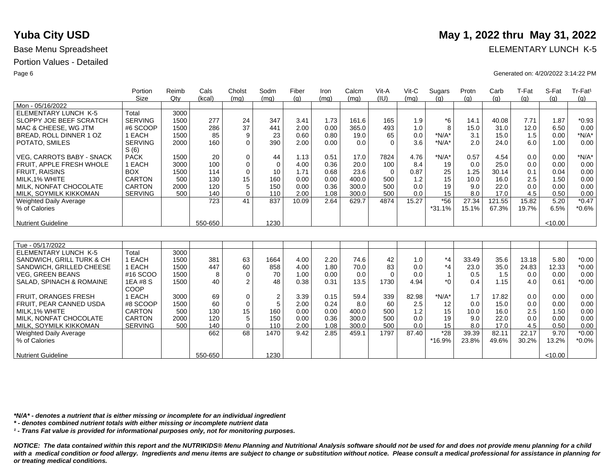|                                  | Portion        | Reimb | Cals    | Cholst          | Sodm           | Fiber | Iron | Calcm | Vit-A    | Vit-C | Sugars         | Protn | Carb   | T-Fat | S-Fat   | Tr-Fat <sup>1</sup> |
|----------------------------------|----------------|-------|---------|-----------------|----------------|-------|------|-------|----------|-------|----------------|-------|--------|-------|---------|---------------------|
|                                  | <b>Size</b>    | Qty   | (kcal)  | (mq)            | (mq)           | (q)   | (mq) | (mq)  | (IU)     | (mq)  | (q)            | (q)   | (g)    | (q)   | (q)     | (g)                 |
| Mon - 05/16/2022                 |                |       |         |                 |                |       |      |       |          |       |                |       |        |       |         |                     |
| <b>ELEMENTARY LUNCH K-5</b>      | Total          | 3000  |         |                 |                |       |      |       |          |       |                |       |        |       |         |                     |
| SLOPPY JOE BEEF SCRATCH          | <b>SERVING</b> | 1500  | 277     | 24              | 347            | 3.41  | 1.73 | 161.6 | 165      | 1.9   | $*6$           | 14.1  | 40.08  | 7.71  | 1.87    | $*0.93$             |
| MAC & CHEESE, WG JTM             | #6 SCOOP       | 1500  | 286     | 37              | 441            | 2.00  | 0.00 | 365.0 | 493      | 1.0   | 8              | 15.0  | 31.0   | 12.0  | 6.50    | 0.00                |
| BREAD, ROLL DINNER 1 OZ          | 1 EACH         | 1500  | 85      | 9               | 23             | 0.60  | 0.80 | 19.0  | 65       | 0.0   | $*N/A*$        | 3.1   | 15.0   | 1.5   | 0.00    | $*N/A*$             |
| POTATO, SMILES                   | <b>SERVING</b> | 2000  | 160     | $\Omega$        | 390            | 2.00  | 0.00 | 0.0   | $\Omega$ | 3.6   | $*N/A*$        | 2.0   | 24.0   | 6.0   | 1.00    | 0.00                |
|                                  | S(6)           |       |         |                 |                |       |      |       |          |       |                |       |        |       |         |                     |
| <b>VEG. CARROTS BABY - SNACK</b> | <b>PACK</b>    | 1500  | 20      | $\mathbf 0$     | 44             | 1.13  | 0.51 | 17.0  | 7824     | 4.76  | $*N/A*$        | 0.57  | 4.54   | 0.0   | 0.00    | $*N/A*$             |
| FRUIT. APPLE FRESH WHOLE         | 1 EACH         | 3000  | 100     | $\mathbf 0$     | $\Omega$       | 4.00  | 0.36 | 20.0  | 100      | 8.4   | 19             | 0.0   | 25.0   | 0.0   | 0.00    | 0.00                |
| <b>FRUIT, RAISINS</b>            | <b>BOX</b>     | 1500  | 114     | $\mathbf 0$     | 10             | 1.71  | 0.68 | 23.6  | $\Omega$ | 0.87  | 25             | 1.25  | 30.14  | 0.1   | 0.04    | 0.00                |
| MILK.1% WHITE                    | <b>CARTON</b>  | 500   | 130     | 15              | 160            | 0.00  | 0.00 | 400.0 | 500      | 1.2   | 15             | 10.0  | 16.0   | 2.5   | 1.50    | 0.00                |
| MILK, NONFAT CHOCOLATE           | <b>CARTON</b>  | 2000  | 120     | 5               | 150            | 0.00  | 0.36 | 300.0 | 500      | 0.0   | 19             | 9.0   | 22.0   | 0.0   | 0.00    | 0.00                |
| MILK, SOYMILK KIKKOMAN           | <b>SERVING</b> | 500   | 140     | $\mathbf 0$     | 110            | 2.00  | 1.08 | 300.0 | 500      | 0.0   | 15             | 8.0   | 17.0   | 4.5   | 0.50    | 0.00                |
| <b>Weighted Daily Average</b>    |                |       | 723     | $\overline{41}$ | 837            | 10.09 | 2.64 | 629.7 | 4874     | 15.27 | $*56$          | 27.34 | 121.55 | 15.82 | 5.20    | $*0.47$             |
| % of Calories                    |                |       |         |                 |                |       |      |       |          |       | $*31.1%$       | 15.1% | 67.3%  | 19.7% | 6.5%    | $*0.6%$             |
|                                  |                |       |         |                 |                |       |      |       |          |       |                |       |        |       |         |                     |
| Nutrient Guideline               |                |       | 550-650 |                 | 1230           |       |      |       |          |       |                |       |        |       | < 10.00 |                     |
|                                  |                |       |         |                 |                |       |      |       |          |       |                |       |        |       |         |                     |
|                                  |                |       |         |                 |                |       |      |       |          |       |                |       |        |       |         |                     |
| Tue - 05/17/2022                 |                |       |         |                 |                |       |      |       |          |       |                |       |        |       |         |                     |
| <b>ELEMENTARY LUNCH K-5</b>      | Total          | 3000  |         |                 |                |       |      |       |          |       |                |       |        |       |         |                     |
| SANDWICH, GRILL TURK & CH        | 1 EACH         | 1500  | 381     | 63              | 1664           | 4.00  | 2.20 | 74.6  | 42       | 1.0   | $*_{4}$        | 33.49 | 35.6   | 13.18 | 5.80    | $*0.00$             |
| SANDWICH, GRILLED CHEESE         | 1 EACH         | 1500  | 447     | 60              | 858            | 4.00  | 1.80 | 70.0  | 83       | 0.0   | $*_{4}$        | 23.0  | 35.0   | 24.83 | 12.33   | $*0.00$             |
| <b>VEG. GREEN BEANS</b>          | #16 SCOO       | 1500  | 8       | $\Omega$        | 70             | 1.00  | 0.00 | 0.0   | $\Omega$ | 0.0   | $\overline{1}$ | 0.5   | 1.5    | 0.0   | 0.00    | 0.00                |
| SALAD, SPINACH & ROMAINE         | 1EA #8 S       | 1500  | 40      | 2               | 48             | 0.38  | 0.31 | 13.5  | 1730     | 4.94  | $*$ $\cap$     | 0.4   | 1.15   | 4.0   | 0.61    | $*0.00$             |
|                                  | COOP           |       |         |                 |                |       |      |       |          |       |                |       |        |       |         |                     |
| <b>FRUIT, ORANGES FRESH</b>      | 1 EACH         | 3000  | 69      | $\mathbf 0$     | $\overline{2}$ | 3.39  | 0.15 | 59.4  | 339      | 82.98 | $*N/A*$        | 1.7   | 17.82  | 0.0   | 0.00    | 0.00                |
| FRUIT, PEAR CANNED USDA          | #8 SCOOP       | 1500  | 60      | $\mathbf 0$     | 5              | 2.00  | 0.24 | 8.0   | 60       | 2.5   | 12             | 0.0   | 15.0   | 0.0   | 0.00    | 0.00                |
| MILK.1% WHITE                    | <b>CARTON</b>  | 500   | 130     | 15              | 160            | 0.00  | 0.00 | 400.0 | 500      | 1.2   | 15             | 10.0  | 16.0   | 2.5   | 1.50    | 0.00                |
| MILK, NONFAT CHOCOLATE           | <b>CARTON</b>  | 2000  | 120     | 5               | 150            | 0.00  | 0.36 | 300.0 | 500      | 0.0   | 19             | 9.0   | 22.0   | 0.0   | 0.00    | 0.00                |
| MILK, SOYMILK KIKKOMAN           | <b>SERVING</b> | 500   | 140     | $\mathbf 0$     | 110            | 2.00  | 1.08 | 300.0 | 500      | 0.0   | 15             | 8.0   | 17.0   | 4.5   | 0.50    | 0.00                |
| <b>Weighted Daily Average</b>    |                |       | 662     | 68              | 1470           | 9.42  | 2.85 | 459.1 | 1797     | 87.40 | $*28$          | 39.39 | 82.11  | 22.17 | 9.70    | $*0.00$             |
| % of Calories                    |                |       |         |                 |                |       |      |       |          |       | *16.9%         | 23.8% | 49.6%  | 30.2% | 13.2%   | $*0.0\%$            |
|                                  |                |       |         |                 |                |       |      |       |          |       |                |       |        |       |         |                     |
| Nutrient Guideline               |                |       | 550-650 |                 | 1230           |       |      |       |          |       |                |       |        |       | < 10.00 |                     |

*\*N/A\* - denotes a nutrient that is either missing or incomplete for an individual ingredient*

*\* - denotes combined nutrient totals with either missing or incomplete nutrient data*

*¹ - Trans Fat value is provided for informational purposes only, not for monitoring purposes.*

*NOTICE: The data contained within this report and the NUTRIKIDS® Menu Planning and Nutritional Analysis software should not be used for and does not provide menu planning for a child*  with a medical condition or food allergy. Ingredients and menu items are subject to change or substitution without notice. Please consult a medical professional for assistance in planning for *or treating medical conditions.*

# **Yuba City USD** May 1, 2022 thru May 31, 2022

Base Menu Spreadsheet **ELEMENTARY LUNCH K-5** 

Page 6 Generated on: 4/20/2022 3:14:22 PM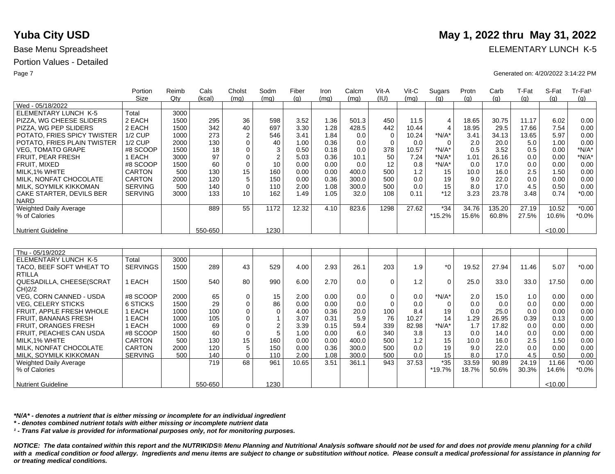Nutrient Guideline

|                                         | Portion                        | Reimb | Cals       | Cholst            | Sodm                | Fiber         | Iron         | Calcm          | Vit-A                   | $V$ it-C   | Sugars         | Protn          | Carb         | T-Fat      | S-Fat         | Tr-Fat <sup>1</sup> |
|-----------------------------------------|--------------------------------|-------|------------|-------------------|---------------------|---------------|--------------|----------------|-------------------------|------------|----------------|----------------|--------------|------------|---------------|---------------------|
|                                         | <b>Size</b>                    | Qtv   | (kcal)     | (mq)              | (mq)                | (q)           | (mq)         | (mq)           | (IU)                    | (mq)       | (q)            | (q)            | (q)          | (q)        | (q)           | (g)                 |
| Wed - 05/18/2022                        |                                |       |            |                   |                     |               |              |                |                         |            |                |                |              |            |               |                     |
| <b>ELEMENTARY LUNCH K-5</b>             | Total                          | 3000  |            |                   |                     |               |              |                |                         |            |                |                |              |            |               |                     |
| PIZZA. WG CHEESE SLIDERS                | 2 EACH                         | 1500  | 295        | 36                | 598                 | 3.52          | 1.36         | 501.3          | 450                     | 11.5       | $\overline{4}$ | 18.65          | 30.75        | 11.17      | 6.02          | 0.00                |
| PIZZA. WG PEP SLIDERS                   | 2 EACH                         | 1500  | 342        | 40                | 697                 | 3.30          | 1.28         | 428.5          | 442                     | 10.44      | $\overline{4}$ | 18.95          | 29.5         | 17.66      | 7.54          | 0.00                |
| POTATO, FRIES SPICY TWISTER             | <b>1/2 CUP</b>                 | 1000  | 273        | $\overline{2}$    | 546                 | 3.41          | 1.84         | 0.0            | $\overline{0}$          | 10.24      | $*N/A*$        | 3.41           | 34.13        | 13.65      | 5.97          | 0.00                |
| POTATO, FRIES PLAIN TWISTER             | <b>1/2 CUP</b>                 | 2000  | 130        | $\mathbf 0$       | 40                  | 1.00          | 0.36         | 0.0            | $\Omega$                | 0.0        | $\Omega$       | 2.0            | 20.0         | 5.0        | 1.00          | 0.00                |
| <b>VEG, TOMATO GRAPE</b>                | #8 SCOOP                       | 1500  | 18         | $\mathbf 0$       | 3                   | 0.50          | 0.18         | 0.0            | 378                     | 10.57      | $*N/A*$        | 0.5            | 3.52         | 0.5        | 0.00          | $*N/A*$             |
| FRUIT, PEAR FRESH                       | 1 EACH                         | 3000  | 97         | $\mathbf 0$       | $\overline{2}$      | 5.03          | 0.36         | 10.1           | 50                      | 7.24       | $*N/A*$        | 1.01           | 26.16        | 0.0        | 0.00          | $*N/A*$             |
| FRUIT, MIXED                            | #8 SCOOP                       | 1500  | 60         | $\mathbf 0$       | 10                  | 0.00          | 0.00         | 0.0            | 12                      | 0.8        | $*N/A*$        | 0.0            | 17.0         | 0.0        | 0.00          | 0.00                |
| MILK, 1% WHITE                          | <b>CARTON</b>                  | 500   | 130        | 15                | 160                 | 0.00          | 0.00         | 400.0          | 500                     | 1.2        | 15             | 10.0           | 16.0         | 2.5        | 1.50          | 0.00                |
| MILK. NONFAT CHOCOLATE                  | <b>CARTON</b>                  | 2000  | 120        | 5                 | 150                 | 0.00          | 0.36         | 300.0          | 500                     | 0.0        | 19             | 9.0            | 22.0         | 0.0        | 0.00          | 0.00                |
| MILK, SOYMILK KIKKOMAN                  | <b>SERVING</b>                 | 500   | 140        | $\Omega$          | 110                 | 2.00          | 1.08         | 300.0          | 500                     | 0.0        | 15             | 8.0            | 17.0         | 4.5        | 0.50          | 0.00                |
| CAKE STARTER, DEVILS BER                | <b>SERVING</b>                 | 3000  | 133        | 10                | 162                 | 1.49          | 1.05         | 32.0           | 108                     | 0.11       | $*12$          | 3.23           | 23.78        | 3.48       | 0.74          | $*0.00$             |
| <b>NARD</b>                             |                                |       |            |                   |                     |               |              |                |                         |            |                |                |              |            |               |                     |
| Weighted Daily Average                  |                                |       | 889        | 55                | 1172                | 12.32         | 4.10         | 823.6          | 1298                    | 27.62      | $*34$          | 34.76          | 135.20       | 27.19      | 10.52         | $*0.00$             |
| % of Calories                           |                                |       |            |                   |                     |               |              |                |                         |            | $*15.2%$       | 15.6%          | 60.8%        | 27.5%      | 10.6%         | $*0.0\%$            |
|                                         |                                |       |            |                   |                     |               |              |                |                         |            |                |                |              |            |               |                     |
| <b>Nutrient Guideline</b>               |                                |       | 550-650    |                   | 1230                |               |              |                |                         |            |                |                |              |            | < 10.00       |                     |
|                                         |                                |       |            |                   |                     |               |              |                |                         |            |                |                |              |            |               |                     |
|                                         |                                |       |            |                   |                     |               |              |                |                         |            |                |                |              |            |               |                     |
| Thu - 05/19/2022                        |                                |       |            |                   |                     |               |              |                |                         |            |                |                |              |            |               |                     |
| <b>ELEMENTARY LUNCH K-5</b>             | Total                          | 3000  |            |                   |                     |               |              |                |                         |            |                |                |              |            |               |                     |
| TACO, BEEF SOFT WHEAT TO                | <b>SERVINGS</b>                | 1500  | 289        | 43                | 529                 | 4.00          | 2.93         | 26.1           | 203                     | 1.9        | $*_{0}$        | 19.52          | 27.94        | 11.46      | 5.07          | $*0.00$             |
| <b>RTILLA</b>                           |                                |       |            |                   |                     |               |              |                | $\Omega$                |            |                |                |              |            |               |                     |
| QUESADILLA, CHEESE(SCRAT                | 1 EACH                         | 1500  | 540        | 80                | 990                 | 6.00          | 2.70         | 0.0            |                         | 1.2        | $\mathbf 0$    | 25.0           | 33.0         | 33.0       | 17.50         | 0.00                |
| CH)2/2<br>VEG. CORN CANNED - USDA       | #8 SCOOP                       | 2000  | 65         |                   | 15                  |               | 0.00         | 0.0            |                         | 0.0        | $*N/A*$        | 2.0            |              | 1.0        | 0.00          | 0.00                |
| <b>VEG. CELERY STICKS</b>               | 6 STICKS                       | 1500  | 29         | 0<br>$\mathbf 0$  | 86                  | 2.00<br>0.00  | 0.00         | 0.0            | $\mathbf 0$<br>$\Omega$ | 0.0        | $\Omega$       | 0.0            | 15.0<br>0.0  | 0.0        | 0.00          | 0.00                |
| FRUIT. APPLE FRESH WHOLE                | 1 EACH                         | 1000  | 100        | $\mathbf 0$       | $\mathbf 0$         | 4.00          | 0.36         | 20.0           | 100                     | 8.4        | 19             | 0.0            | 25.0         | 0.0        | 0.00          | 0.00                |
|                                         |                                | 1000  | 105        | $\Omega$          |                     |               | 0.31         | 5.9            | 76                      | 10.27      | 14             |                | 26.95        | 0.39       |               |                     |
| FRUIT, BANANAS FRESH                    | 1 EACH                         | 1000  | 69         | $\mathbf 0$       | $\mathbf{1}$        | 3.07          | 0.15         | 59.4           |                         |            | $*N/A*$        | 1.29<br>1.7    |              | 0.0        | 0.13          | 0.00<br>0.00        |
| <b>FRUIT, ORANGES FRESH</b>             | 1 EACH                         |       | 60         |                   | $\overline{2}$<br>5 | 3.39          | 0.00         | 6.0            | 339                     | 82.98      |                |                | 17.82        |            | 0.00<br>0.00  |                     |
| FRUIT, PEACHES CAN USDA                 | #8 SCOOP                       | 1500  |            | $\mathbf 0$       |                     | 1.00          |              |                | 340                     | 3.8<br>1.2 | 13             | 0.0            | 14.0         | 0.0        |               | 0.00                |
| MILK, 1% WHITE                          | <b>CARTON</b><br><b>CARTON</b> | 500   | 130        | 15                | 160                 | 0.00          | 0.00         | 400.0<br>300.0 | 500<br>500              |            | 15<br>19       | 10.0           | 16.0         | 2.5        | 1.50<br>0.00  | 0.00                |
| MILK, NONFAT CHOCOLATE                  |                                | 2000  | 120        | 5                 | 150<br>110          | 0.00          | 0.36<br>1.08 | 300.0          | 500                     | 0.0<br>0.0 |                | 9.0            | 22.0<br>17.0 | 0.0<br>4.5 |               | 0.00<br>0.00        |
| <b>MILK, SOYMILK KIKKOMAN</b>           | <b>SERVING</b>                 | 500   | 140<br>719 | $\mathbf 0$<br>68 | 961                 | 2.00<br>10.65 | 3.51         | 361.1          | 943                     | 37.53      | 15<br>$*35$    | 8.0            | 90.89        | 24.19      | 0.50<br>11.66 | $*0.00$             |
| Weighted Daily Average<br>% of Calories |                                |       |            |                   |                     |               |              |                |                         |            | *19.7%         | 33.59<br>18.7% | 50.6%        | 30.3%      | 14.6%         | $*0.0\%$            |
|                                         |                                |       |            |                   |                     |               |              |                |                         |            |                |                |              |            |               |                     |
|                                         |                                |       |            |                   |                     |               |              |                |                         |            |                |                |              |            |               |                     |

*\*N/A\* - denotes a nutrient that is either missing or incomplete for an individual ingredient*

*\* - denotes combined nutrient totals with either missing or incomplete nutrient data*

*¹ - Trans Fat value is provided for informational purposes only, not for monitoring purposes.*

550-650

*NOTICE: The data contained within this report and the NUTRIKIDS® Menu Planning and Nutritional Analysis software should not be used for and does not provide menu planning for a child*  with a medical condition or food allergy. Ingredients and menu items are subject to change or substitution without notice. Please consult a medical professional for assistance in planning for *or treating medical conditions.*

1230

# **Yuba City USD** May 1, 2022 thru May 31, 2022

Base Menu Spreadsheet **ELEMENTARY LUNCH K-5** 

Page 7 Generated on: 4/20/2022 3:14:22 PM

 $< 10.00$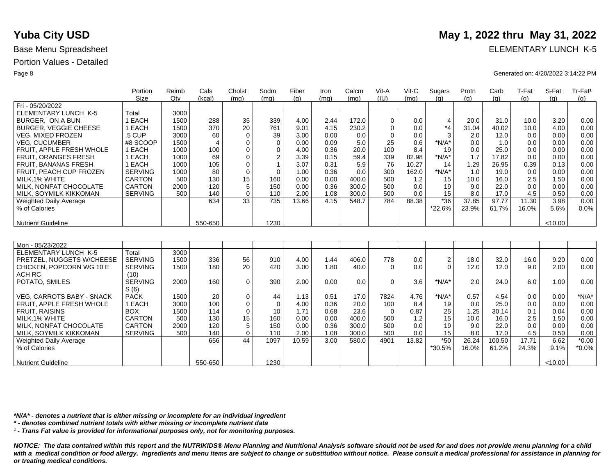|                              | Portion        | Reimb | Cals           | Cholst      | Sodm                    | Fiber | Iron | Calcm | Vit-A       | $V$ it-C | Sugars         | Protn | Carb   | T-Fat | S-Fat   | Tr-Fat <sup>1</sup> |
|------------------------------|----------------|-------|----------------|-------------|-------------------------|-------|------|-------|-------------|----------|----------------|-------|--------|-------|---------|---------------------|
|                              | <b>Size</b>    | Qtv   | (kcal)         | (mq)        | (mq)                    | (a)   | (mq) | (ma)  | (IU)        | (mq)     | (q)            | (q)   | (q)    | (g)   | (a)     | (g)                 |
| Fri - 05/20/2022             |                |       |                |             |                         |       |      |       |             |          |                |       |        |       |         |                     |
| ELEMENTARY LUNCH K-5         | Total          | 3000  |                |             |                         |       |      |       |             |          |                |       |        |       |         |                     |
| BURGER, ON A BUN             | 1 EACH         | 1500  | 288            | 35          | 339                     | 4.00  | 2.44 | 172.0 | $\mathbf 0$ | 0.0      | $\overline{4}$ | 20.0  | 31.0   | 10.0  | 3.20    | 0.00                |
| <b>BURGER, VEGGIE CHEESE</b> | 1 EACH         | 1500  | 370            | 20          | 761                     | 9.01  | 4.15 | 230.2 | $\mathbf 0$ | 0.0      | $*_{4}$        | 31.04 | 40.02  | 10.0  | 4.00    | 0.00                |
| <b>VEG, MIXED FROZEN</b>     | .5 CUP         | 3000  | 60             | $\mathbf 0$ | 39                      | 3.00  | 0.00 | 0.0   | $\mathbf 0$ | 0.0      | 3              | 2.0   | 12.0   | 0.0   | 0.00    | 0.00                |
| <b>VEG. CUCUMBER</b>         | #8 SCOOP       | 1500  | $\overline{4}$ | 0           | $\mathbf 0$             | 0.00  | 0.09 | 5.0   | 25          | 0.6      | *N/A*          | 0.0   | 1.0    | 0.0   | 0.00    | 0.00                |
| FRUIT, APPLE FRESH WHOLE     | 1 EACH         | 1000  | 100            | $\mathbf 0$ | $\mathbf 0$             | 4.00  | 0.36 | 20.0  | 100         | 8.4      | 19             | 0.0   | 25.0   | 0.0   | 0.00    | 0.00                |
| FRUIT, ORANGES FRESH         | 1 EACH         | 1000  | 69             | $\mathbf 0$ | $\overline{\mathbf{c}}$ | 3.39  | 0.15 | 59.4  | 339         | 82.98    | *N/A*          | 1.7   | 17.82  | 0.0   | 0.00    | 0.00                |
| FRUIT, BANANAS FRESH         | 1 EACH         | 1000  | 105            | $\mathbf 0$ | $\overline{1}$          | 3.07  | 0.31 | 5.9   | 76          | 10.27    | 14             | 1.29  | 26.95  | 0.39  | 0.13    | 0.00                |
| FRUIT, PEACH CUP FROZEN      | <b>SERVING</b> | 1000  | 80             | $\mathbf 0$ | $\Omega$                | 1.00  | 0.36 | 0.0   | 300         | 162.0    | $*N/A*$        | 1.0   | 19.0   | 0.0   | 0.00    | 0.00                |
| MILK.1% WHITE                | <b>CARTON</b>  | 500   | 130            | 15          | 160                     | 0.00  | 0.00 | 400.0 | 500         | 1.2      | 15             | 10.0  | 16.0   | 2.5   | 1.50    | 0.00                |
| MILK, NONFAT CHOCOLATE       | <b>CARTON</b>  | 2000  | 120            | 5           | 150                     | 0.00  | 0.36 | 300.0 | 500         | 0.0      | 19             | 9.0   | 22.0   | 0.0   | 0.00    | 0.00                |
| MILK, SOYMILK KIKKOMAN       | <b>SERVING</b> | 500   | 140            | $\mathbf 0$ | 110                     | 2.00  | 1.08 | 300.0 | 500         | 0.0      | 15             | 8.0   | 17.0   | 4.5   | 0.50    | 0.00                |
| Weighted Daily Average       |                |       | 634            | 33          | 735                     | 13.66 | 4.15 | 548.7 | 784         | 88.38    | $*36$          | 37.85 | 97.77  | 11.30 | 3.98    | 0.00                |
| % of Calories                |                |       |                |             |                         |       |      |       |             |          | *22.6%         | 23.9% | 61.7%  | 16.0% | 5.6%    | 0.0%                |
|                              |                |       |                |             |                         |       |      |       |             |          |                |       |        |       |         |                     |
| <b>Nutrient Guideline</b>    |                |       | 550-650        |             | 1230                    |       |      |       |             |          |                |       |        |       | <10.00  |                     |
|                              |                |       |                |             |                         |       |      |       |             |          |                |       |        |       |         |                     |
|                              |                |       |                |             |                         |       |      |       |             |          |                |       |        |       |         |                     |
| Mon - 05/23/2022             |                |       |                |             |                         |       |      |       |             |          |                |       |        |       |         |                     |
| <b>ELEMENTARY LUNCH K-5</b>  | Total          | 3000  |                |             |                         |       |      |       |             |          |                |       |        |       |         |                     |
| PRETZEL, NUGGETS W/CHEESE    | <b>SERVING</b> | 1500  | 336            | 56          | 910                     | 4.00  | 1.44 | 406.0 | 778         | 0.0      | $\sqrt{2}$     | 18.0  | 32.0   | 16.0  | 9.20    | 0.00                |
| CHICKEN, POPCORN WG 10 E     | <b>SERVING</b> | 1500  | 180            | 20          | 420                     | 3.00  | 1.80 | 40.0  | $\Omega$    | 0.0      | $\Omega$       | 12.0  | 12.0   | 9.0   | 2.00    | 0.00                |
| ACH RC                       | (10)           |       |                |             |                         |       |      |       |             |          |                |       |        |       |         |                     |
| POTATO, SMILES               | <b>SERVING</b> | 2000  | 160            | $\mathbf 0$ | 390                     | 2.00  | 0.00 | 0.0   | $\Omega$    | 3.6      | $*N/A*$        | 2.0   | 24.0   | 6.0   | 1.00    | 0.00                |
|                              | S(6)           |       |                |             |                         |       |      |       |             |          |                |       |        |       |         |                     |
| VEG. CARROTS BABY - SNACK    | <b>PACK</b>    | 1500  | 20             | 0           | 44                      | 1.13  | 0.51 | 17.0  | 7824        | 4.76     | $*N/A*$        | 0.57  | 4.54   | 0.0   | 0.00    | $*N/A*$             |
| FRUIT, APPLE FRESH WHOLE     | 1 EACH         | 3000  | 100            | $\mathbf 0$ | $\Omega$                | 4.00  | 0.36 | 20.0  | 100         | 8.4      | 19             | 0.0   | 25.0   | 0.0   | 0.00    | 0.00                |
| <b>FRUIT, RAISINS</b>        | <b>BOX</b>     | 1500  | 114            | $\mathbf 0$ | 10                      | 1.71  | 0.68 | 23.6  | $\Omega$    | 0.87     | 25             | 1.25  | 30.14  | 0.1   | 0.04    | 0.00                |
| MILK.1% WHITE                | <b>CARTON</b>  | 500   | 130            | 15          | 160                     | 0.00  | 0.00 | 400.0 | 500         | 1.2      | 15             | 10.0  | 16.0   | 2.5   | 1.50    | 0.00                |
| MILK. NONFAT CHOCOLATE       | <b>CARTON</b>  | 2000  | 120            | 5           | 150                     | 0.00  | 0.36 | 300.0 | 500         | 0.0      | 19             | 9.0   | 22.0   | 0.0   | 0.00    | 0.00                |
| MILK, SOYMILK KIKKOMAN       | <b>SERVING</b> | 500   | 140            | $\Omega$    | 110                     | 2.00  | 1.08 | 300.0 | 500         | 0.0      | 15             | 8.0   | 17.0   | 4.5   | 0.50    | 0.00                |
| Weighted Daily Average       |                |       | 656            | 44          | 1097                    | 10.59 | 3.00 | 580.0 | 4901        | 13.82    | $*50$          | 26.24 | 100.50 | 17.71 | 6.62    | $\overline{0.00}$   |
| % of Calories                |                |       |                |             |                         |       |      |       |             |          | *30.5%         | 16.0% | 61.2%  | 24.3% | 9.1%    | $*0.0\%$            |
| <b>Nutrient Guideline</b>    |                |       | 550-650        |             | 1230                    |       |      |       |             |          |                |       |        |       | < 10.00 |                     |

*\*N/A\* - denotes a nutrient that is either missing or incomplete for an individual ingredient*

*\* - denotes combined nutrient totals with either missing or incomplete nutrient data*

*¹ - Trans Fat value is provided for informational purposes only, not for monitoring purposes.*

*NOTICE: The data contained within this report and the NUTRIKIDS® Menu Planning and Nutritional Analysis software should not be used for and does not provide menu planning for a child*  with a medical condition or food allergy. Ingredients and menu items are subject to change or substitution without notice. Please consult a medical professional for assistance in planning for *or treating medical conditions.*

# **Yuba City USD** May 1, 2022 thru May 31, 2022

Base Menu Spreadsheet **ELEMENTARY LUNCH K-5** 

Page 8 Generated on: 4/20/2022 3:14:22 PM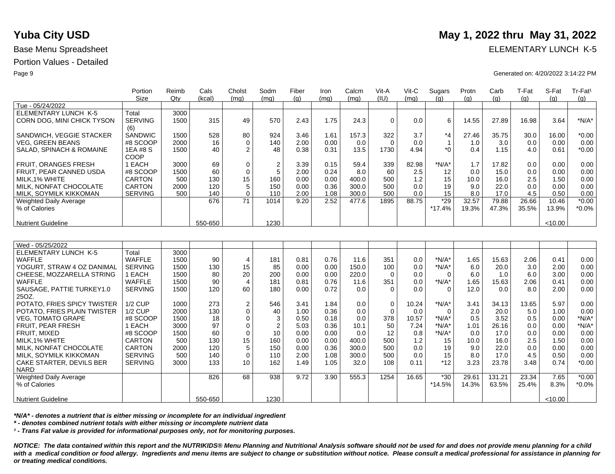|                                                     | Portion              | Reimb | Cals     | Cholst           | Sodm           | Fiber | Iron | Calcm | Vit-A       | $V$ it-C | Sugars                  | Protn      | Carb        | T-Fat | S-Fat   | Tr-Fat <sup>1</sup> |
|-----------------------------------------------------|----------------------|-------|----------|------------------|----------------|-------|------|-------|-------------|----------|-------------------------|------------|-------------|-------|---------|---------------------|
|                                                     | <b>Size</b>          | Qty   | (kcal)   | (mq)             | (mq)           | (q)   | (mq) | (mq)  | (IU)        | (mq)     | (q)                     | (q)        | (g)         | (g)   | (q)     | (g)                 |
| Tue - 05/24/2022                                    |                      |       |          |                  |                |       |      |       |             |          |                         |            |             |       |         |                     |
| ELEMENTARY LUNCH K-5                                | Total                | 3000  |          |                  |                |       |      |       |             |          |                         |            |             |       |         |                     |
| CORN DOG, MINI CHICK TYSON                          | <b>SERVING</b>       | 1500  | 315      | 49               | 570            | 2.43  | 1.75 | 24.3  | $\mathbf 0$ | 0.0      | 6                       | 14.55      | 27.89       | 16.98 | 3.64    | $*N/A*$             |
| SANDWICH, VEGGIE STACKER                            | (6)<br>SANDWIC       | 1500  | 528      |                  | 924            |       |      | 157.3 | 322         | 3.7      | $*_{4}$                 | 27.46      | 35.75       | 30.0  |         | $*0.00$             |
|                                                     |                      |       |          | 80               |                | 3.46  | 1.61 |       |             |          |                         |            |             |       | 16.00   | 0.00                |
| <b>VEG. GREEN BEANS</b><br>SALAD, SPINACH & ROMAINE | #8 SCOOP<br>1EA #8 S | 2000  | 16<br>40 | $\mathbf 0$<br>2 | 140<br>48      | 2.00  | 0.00 | 0.0   | $\mathbf 0$ | 0.0      | $\mathbf{1}$<br>$*_{0}$ | 1.0<br>0.4 | 3.0<br>1.15 | 0.0   | 0.00    | $*0.00$             |
|                                                     |                      | 1500  |          |                  |                | 0.38  | 0.31 | 13.5  | 1730        | 4.94     |                         |            |             | 4.0   | 0.61    |                     |
|                                                     | COOP                 |       |          |                  |                |       |      |       |             |          |                         |            |             |       |         |                     |
| FRUIT, ORANGES FRESH                                | 1 EACH               | 3000  | 69       | 0                | $\overline{2}$ | 3.39  | 0.15 | 59.4  | 339         | 82.98    | $*N/A*$                 | 1.7        | 17.82       | 0.0   | 0.00    | 0.00                |
| FRUIT, PEAR CANNED USDA                             | #8 SCOOP             | 1500  | 60       | 0                | 5              | 2.00  | 0.24 | 8.0   | 60          | 2.5      | 12                      | 0.0        | 15.0        | 0.0   | 0.00    | 0.00                |
| MILK, 1% WHITE                                      | CARTON               | 500   | 130      | 15               | 160            | 0.00  | 0.00 | 400.0 | 500         | 1.2      | 15                      | 10.0       | 16.0        | 2.5   | 1.50    | 0.00                |
| MILK, NONFAT CHOCOLATE                              | CARTON               | 2000  | 120      | 5                | 150            | 0.00  | 0.36 | 300.0 | 500         | 0.0      | 19                      | 9.0        | 22.0        | 0.0   | 0.00    | 0.00                |
| MILK, SOYMILK KIKKOMAN                              | <b>SERVING</b>       | 500   | 140      | $\Omega$         | 110            | 2.00  | 1.08 | 300.0 | 500         | 0.0      | 15                      | 8.0        | 17.0        | 4.5   | 0.50    | 0.00                |
| <b>Weighted Daily Average</b>                       |                      |       | 676      | 71               | 1014           | 9.20  | 2.52 | 477.6 | 1895        | 88.75    | $*29$                   | 32.57      | 79.88       | 26.66 | 10.46   | $*0.00$             |
| % of Calories                                       |                      |       |          |                  |                |       |      |       |             |          | $*17.4%$                | 19.3%      | 47.3%       | 35.5% | 13.9%   | $*0.0\%$            |
|                                                     |                      |       | 550-650  |                  | 1230           |       |      |       |             |          |                         |            |             |       | < 10.00 |                     |
| <b>Nutrient Guideline</b>                           |                      |       |          |                  |                |       |      |       |             |          |                         |            |             |       |         |                     |
|                                                     |                      |       |          |                  |                |       |      |       |             |          |                         |            |             |       |         |                     |
| Wed - 05/25/2022                                    |                      |       |          |                  |                |       |      |       |             |          |                         |            |             |       |         |                     |
| ELEMENTARY LUNCH K-5                                | Total                | 3000  |          |                  |                |       |      |       |             |          |                         |            |             |       |         |                     |
| <b>WAFFLE</b>                                       | <b>WAFFLE</b>        | 1500  | 90       | 4                | 181            | 0.81  | 0.76 | 11.6  | 351         | 0.0      | $*N/A*$                 | 1.65       | 15.63       | 2.06  | 0.41    | 0.00                |
| YOGURT, STRAW 4 OZ DANIMAL                          | <b>SERVING</b>       | 1500  | 130      | 15               | 85             | 0.00  | 0.00 | 150.0 | 100         | 0.0      | $*N/A*$                 | 6.0        | 20.0        | 3.0   | 2.00    | 0.00                |
| CHEESE, MOZZARELLA STRING                           | 1 EACH               | 1500  | 80       | 20               | 200            | 0.00  | 0.00 | 220.0 | $\Omega$    | 0.0      | $\Omega$                | 6.0        | 1.0         | 6.0   | 3.00    | 0.00                |
| WAFFLE                                              | <b>WAFFLE</b>        | 1500  | 90       | $\overline{4}$   | 181            | 0.81  | 0.76 | 11.6  | 351         | 0.0      | $*N/A*$                 | 1.65       | 15.63       | 2.06  | 0.41    | 0.00                |
| SAUSAGE, PATTIE TURKEY1.0                           | <b>SERVING</b>       | 1500  | 120      | 60               | 180            | 0.00  | 0.72 | 0.0   | $\Omega$    | 0.0      | $\Omega$                | 12.0       | 0.0         | 8.0   | 2.00    | 0.00                |
| 25OZ.                                               |                      |       |          |                  |                |       |      |       |             |          |                         |            |             |       |         |                     |
| POTATO, FRIES SPICY TWISTER                         | <b>1/2 CUP</b>       | 1000  | 273      | $\mathbf 2$      | 546            | 3.41  | 1.84 | 0.0   | 0           | 10.24    | $*N/A*$                 | 3.41       | 34.13       | 13.65 | 5.97    | 0.00                |
| POTATO, FRIES PLAIN TWISTER                         | <b>1/2 CUP</b>       | 2000  | 130      | $\Omega$         | 40             | 1.00  | 0.36 | 0.0   | $\Omega$    | 0.0      | $\Omega$                | 2.0        | 20.0        | 5.0   | 1.00    | 0.00                |
| <b>VEG, TOMATO GRAPE</b>                            | #8 SCOOP             | 1500  | 18       | $\mathbf 0$      | 3              | 0.50  | 0.18 | 0.0   | 378         | 10.57    | $*N/A*$                 | 0.5        | 3.52        | 0.5   | 0.00    | $*N/A*$             |
| FRUIT, PEAR FRESH                                   | 1 EACH               | 3000  | 97       | $\mathbf 0$      | $\overline{2}$ | 5.03  | 0.36 | 10.1  | 50          | 7.24     | $*N/A*$                 | 1.01       | 26.16       | 0.0   | 0.00    | $*N/A*$             |
| FRUIT, MIXED                                        | #8 SCOOP             | 1500  | 60       | $\mathbf 0$      | 10             | 0.00  | 0.00 | 0.0   | 12          | 0.8      | $*N/A*$                 | 0.0        | 17.0        | 0.0   | 0.00    | 0.00                |
| MILK.1% WHITE                                       | <b>CARTON</b>        | 500   | 130      | 15               | 160            | 0.00  | 0.00 | 400.0 | 500         | 1.2      | 15                      | 10.0       | 16.0        | 2.5   | 1.50    | 0.00                |
| MILK, NONFAT CHOCOLATE                              | <b>CARTON</b>        | 2000  | 120      | 5                | 150            | 0.00  | 0.36 | 300.0 | 500         | 0.0      | 19                      | 9.0        | 22.0        | 0.0   | 0.00    | 0.00                |
| MILK, SOYMILK KIKKOMAN                              | <b>SERVING</b>       | 500   | 140      | $\Omega$         | 110            | 2.00  | 1.08 | 300.0 | 500         | 0.0      | 15                      | 8.0        | 17.0        | 4.5   | 0.50    | 0.00                |
| CAKE STARTER, DEVILS BER                            | <b>SERVING</b>       | 3000  | 133      | 10               | 162            | 1.49  | 1.05 | 32.0  | 108         | 0.11     | $*12$                   | 3.23       | 23.78       | 3.48  | 0.74    | $*0.00$             |
| <b>NARD</b>                                         |                      |       |          |                  |                |       |      |       |             |          |                         |            |             |       |         |                     |
| <b>Weighted Daily Average</b>                       |                      |       | 826      | 68               | 938            | 9.72  | 3.90 | 555.3 | 1254        | 16.65    | $*30$                   | 29.61      | 131.21      | 23.34 | 7.65    | $*0.00$             |
| % of Calories                                       |                      |       |          |                  |                |       |      |       |             |          | $*14.5%$                | 14.3%      | 63.5%       | 25.4% | 8.3%    | $*0.0\%$            |
|                                                     |                      |       |          |                  |                |       |      |       |             |          |                         |            |             |       |         |                     |
| <b>Nutrient Guideline</b>                           |                      |       | 550-650  |                  | 1230           |       |      |       |             |          |                         |            |             |       | < 10.00 |                     |

*\*N/A\* - denotes a nutrient that is either missing or incomplete for an individual ingredient*

*\* - denotes combined nutrient totals with either missing or incomplete nutrient data*

*¹ - Trans Fat value is provided for informational purposes only, not for monitoring purposes.*

*NOTICE: The data contained within this report and the NUTRIKIDS® Menu Planning and Nutritional Analysis software should not be used for and does not provide menu planning for a child*  with a medical condition or food allergy. Ingredients and menu items are subject to change or substitution without notice. Please consult a medical professional for assistance in planning for *or treating medical conditions.*

# **Yuba City USD** May 1, 2022 thru May 31, 2022

Base Menu Spreadsheet **ELEMENTARY LUNCH K-5** 

### Page 9 Generated on: 4/20/2022 3:14:22 PM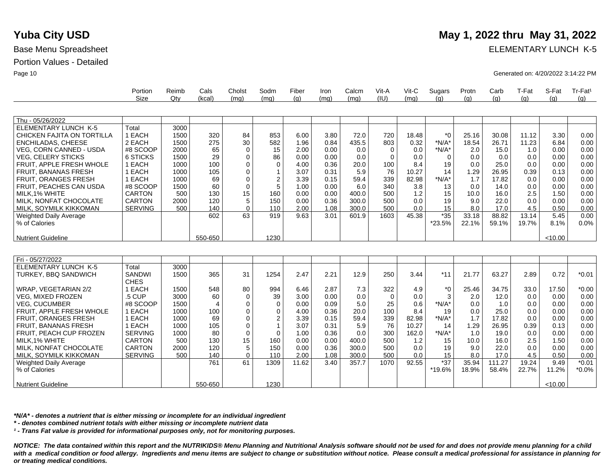Weighted Daily Average

% of Calories

Nutrient Guideline

### Portion Values - Detailed

Base Menu Spreadsheet **ELEMENTARY LUNCH K-5** 

Page 10 Generated on: 4/20/2022 3:14:22 PM

|                                 | Portion<br>Size | Reimb<br>Qtv | Cals<br>(kcal) | Cholst<br>(mq) | Sodm<br>(mq) | Fiber<br>(q) | Iron<br>(mq) | Calcm<br>(mq) | Vit-A<br>(IU) | Vit-C<br>(mq) | Sugars<br>(q) | Protn<br>(q) | Carb<br>(q) | T-Fat<br>(q) | S-Fat<br>(q) | Tr-Fat <sup>1</sup><br>(q) |
|---------------------------------|-----------------|--------------|----------------|----------------|--------------|--------------|--------------|---------------|---------------|---------------|---------------|--------------|-------------|--------------|--------------|----------------------------|
|                                 |                 |              |                |                |              |              |              |               |               |               |               |              |             |              |              |                            |
| Thu - 05/26/2022                |                 |              |                |                |              |              |              |               |               |               |               |              |             |              |              |                            |
| <b>ELEMENTARY LUNCH K-5</b>     | Total           | 3000         |                |                |              |              |              |               |               |               |               |              |             |              |              |                            |
| CHICKEN FAJITA ON TORTILLA      | 1 EACH          | 1500         | 320            | 84             | 853          | 6.00         | 3.80         | 72.0          | 720           | 18.48         | $*_{0}$       | 25.16        | 30.08       | 11.12        | 3.30         | 0.00                       |
| <b>ENCHILADAS, CHEESE</b>       | 2 EACH          | 1500         | 275            | 30             | 582          | 1.96         | 0.84         | 435.5         | 803           | 0.32          | $*N/A*$       | 18.54        | 26.71       | 11.23        | 6.84         | 0.00                       |
| VEG, CORN CANNED - USDA         | #8 SCOOP        | 2000         | 65             | $\mathbf 0$    | 15           | 2.00         | 0.00         | 0.0           | $\mathbf 0$   | 0.0           | $*N/A*$       | 2.0          | 15.0        | 1.0          | 0.00         | 0.00                       |
| <b>VEG, CELERY STICKS</b>       | 6 STICKS        | 1500         | 29             | $\mathbf 0$    | 86           | 0.00         | 0.00         | 0.0           | $\mathbf 0$   | 0.0           | $\Omega$      | 0.0          | 0.0         | 0.0          | 0.00         | 0.00                       |
| FRUIT, APPLE FRESH WHOLE        | 1 EACH          | 1000         | 100            | $\Omega$       | $\Omega$     | 4.00         | 0.36         | 20.0          | 100           | 8.4           | 19            | 0.0          | 25.0        | 0.0          | 0.00         | 0.00                       |
| <b>FRUIT, BANANAS FRESH</b>     | 1 EACH          | 1000         | 105            | $\mathbf 0$    | 1            | 3.07         | 0.31         | 5.9           | 76            | 10.27         | 14            | 1.29         | 26.95       | 0.39         | 0.13         | 0.00                       |
| FRUIT, ORANGES FRESH            | 1 EACH          | 1000         | 69             | $\mathbf 0$    | 2            | 3.39         | 0.15         | 59.4          | 339           | 82.98         | $*N/A*$       | 1.7          | 17.82       | 0.0          | 0.00         | 0.00                       |
| FRUIT, PEACHES CAN USDA         | #8 SCOOP        | 1500         | 60             | 0              | 5            | 1.00         | 0.00         | 6.0           | 340           | 3.8           | 13            | 0.0          | 14.0        | 0.0          | 0.00         | 0.00                       |
| MILK, 1% WHITE                  | <b>CARTON</b>   | 500          | 130            | 15             | 160          | 0.00         | 0.00         | 400.0         | 500           | 1.2           | 15            | 10.0         | 16.0        | 2.5          | 1.50         | 0.00                       |
| MILK. NONFAT CHOCOLATE          | <b>CARTON</b>   | 2000         | 120            | 5              | 150          | 0.00         | 0.36         | 300.0         | 500           | 0.0           | 19            | 9.0          | 22.0        | 0.0          | 0.00         | 0.00                       |
| MILK, SOYMILK KIKKOMAN          | <b>SERVING</b>  | 500          | 140            | $\mathbf 0$    | 110          | 2.00         | 1.08         | 300.0         | 500           | 0.0           | 15            | 8.0          | 17.0        | 4.5          | 0.50         | 0.00                       |
| <b>Weighted Daily Average</b>   |                 |              | 602            | 63             | 919          | 9.63         | 3.01         | 601.9         | 1603          | 45.38         | $*35$         | 33.18        | 88.82       | 13.14        | 5.45         | 0.00                       |
| % of Calories                   |                 |              |                |                |              |              |              |               |               |               | *23.5%        | 22.1%        | 59.1%       | 19.7%        | 8.1%         | 0.0%                       |
|                                 |                 |              |                |                |              |              |              |               |               |               |               |              |             |              |              |                            |
| <b>Nutrient Guideline</b>       |                 |              | 550-650        |                | 1230         |              |              |               |               |               |               |              |             |              | < 10.00      |                            |
|                                 |                 |              |                |                |              |              |              |               |               |               |               |              |             |              |              |                            |
| Fri - 05/27/2022                |                 |              |                |                |              |              |              |               |               |               |               |              |             |              |              |                            |
| <b>ELEMENTARY LUNCH K-5</b>     | Total           | 3000         |                |                |              |              |              |               |               |               |               |              |             |              |              |                            |
| <b>TURKEY, BBQ SANDWICH</b>     | <b>SANDWI</b>   | 1500         | 365            | 31             | 1254         | 2.47         | 2.21         | 12.9          | 250           | 3.44          | $*11$         | 21.77        | 63.27       | 2.89         | 0.72         | $*0.01$                    |
|                                 | <b>CHES</b>     |              |                |                |              |              |              |               |               |               |               |              |             |              |              |                            |
| WRAP, VEGETARIAN 2/2            | 1 EACH          | 1500         | 548            | 80             | 994          | 6.46         | 2.87         | 7.3           | 322           | 4.9           | *0            | 25.46        | 34.75       | 33.0         | 17.50        | $*0.00$                    |
| <b>VEG. MIXED FROZEN</b>        | .5 CUP          | 3000         | 60             | $\Omega$       | 39           | 3.00         | 0.00         | 0.0           | 0             | 0.0           | 3             | 2.0          | 12.0        | 0.0          | 0.00         | 0.00                       |
| <b>VEG, CUCUMBER</b>            | #8 SCOOP        | 1500         | $\overline{4}$ | $\mathbf 0$    | 0            | 0.00         | 0.09         | 5.0           | 25            | 0.6           | $*N/A*$       | 0.0          | 1.0         | 0.0          | 0.00         | 0.00                       |
| <b>FRUIT, APPLE FRESH WHOLE</b> | 1 EACH          | 1000         | 100            | $\mathbf 0$    | 0            | 4.00         | 0.36         | 20.0          | 100           | 8.4           | 19            | 0.0          | 25.0        | 0.0          | 0.00         | 0.00                       |
| <b>FRUIT, ORANGES FRESH</b>     | 1 EACH          | 1000         | 69             | $\mathbf 0$    | 2            | 3.39         | 0.15         | 59.4          | 339           | 82.98         | $*N/A*$       | 1.7          | 17.82       | 0.0          | 0.00         | 0.00                       |
| <b>FRUIT, BANANAS FRESH</b>     | 1 EACH          | 1000         | 105            | $\mathbf 0$    | 1            | 3.07         | 0.31         | 5.9           | 76            | 10.27         | 14            | 1.29         | 26.95       | 0.39         | 0.13         | 0.00                       |
| FRUIT, PEACH CUP FROZEN         | <b>SERVING</b>  | 1000         | 80             | $\mathbf 0$    | $\Omega$     | 1.00         | 0.36         | 0.0           | 300           | 162.0         | $*N/A*$       | 1.0          | 19.0        | 0.0          | 0.00         | 0.00                       |
| MILK.1% WHITE                   | <b>CARTON</b>   | 500          | 130            | 15             | 160          | 0.00         | 0.00         | 400.0         | 500           | 1.2           | 15            | 10.0         | 16.0        | 2.5          | 1.50         | 0.00                       |
| MILK. NONFAT CHOCOLATE          | <b>CARTON</b>   | 2000         | 120            | 5              | 150          | 0.00         | 0.36         | 300.0         | 500           | 0.0           | 19            | 9.0          | 22.0        | 0.0          | 0.00         | 0.00                       |
| MILK, SOYMILK KIKKOMAN          | <b>SERVING</b>  | 500          | 140            | $\Omega$       | 110          | 2.00         | 1.08         | 300.0         | 500           | 0.0           | 15            | 8.0          | 17.0        | 4.5          | 0.50         | 0.00                       |
| Weighted Daily Average          |                 |              | 761            | 61             | 1309         | 11.62        | 3.40         | 357.7         | 1070          | 92.55         | $*37$         | 35.94        | 111.27      | 19.24        | 9.49         | $*0.01$                    |

*\*N/A\* - denotes a nutrient that is either missing or incomplete for an individual ingredient*

*\* - denotes combined nutrient totals with either missing or incomplete nutrient data*

*¹ - Trans Fat value is provided for informational purposes only, not for monitoring purposes.*

550-650

*NOTICE: The data contained within this report and the NUTRIKIDS® Menu Planning and Nutritional Analysis software should not be used for and does not provide menu planning for a child*  with a medical condition or food allergy. Ingredients and menu items are subject to change or substitution without notice. Please consult a medical professional for assistance in planning for *or treating medical conditions.*

11.62 3.40 357.7 1070 92.55 37

\*19.6%

35.94 18.9% 111.27 58.4%

19.24 22.7%

9.49 11.2%  $< 10.00$ 

\*0.01 \*0.0%

1230